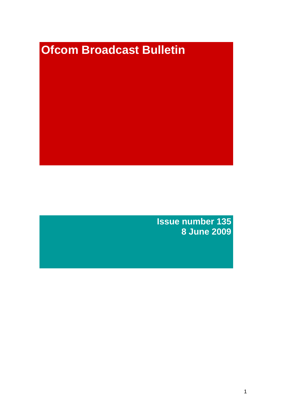# **Ofcom Broadcast Bulletin**

**Issue number 135 8 June 2009**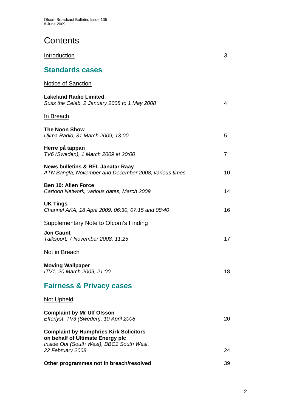# **Contents**

| Introduction                                                                                                                   | 3        |
|--------------------------------------------------------------------------------------------------------------------------------|----------|
| <b>Standards cases</b>                                                                                                         |          |
| Notice of Sanction                                                                                                             |          |
| <b>Lakeland Radio Limited</b><br>Suss the Celeb, 2 January 2008 to 1 May 2008                                                  | 4        |
| <u>In Breach</u>                                                                                                               |          |
| <b>The Noon Show</b><br>Ujima Radio, 31 March 2009, 13:00                                                                      | 5        |
| Herre på täppan<br>TV6 (Sweden), 1 March 2009 at 20:00                                                                         | 7        |
| <b>News bulletins &amp; RFL Janatar Raay</b><br>ATN Bangla, November and December 2008, various times                          | 10       |
| <b>Ben 10: Alien Force</b><br>Cartoon Network, various dates, March 2009                                                       | 14       |
| <b>UK Tings</b><br>Channel AKA, 18 April 2009, 06:30, 07:15 and 08:40                                                          | 16       |
| <b>Supplementary Note to Ofcom's Finding</b>                                                                                   |          |
| <b>Jon Gaunt</b><br>Talksport, 7 November 2008, 11:25                                                                          | 17       |
| Not in Breach                                                                                                                  |          |
| <b>Moving Wallpaper</b><br>ITV1, 20 March 2009, 21:00                                                                          | 18       |
| <b>Fairness &amp; Privacy cases</b>                                                                                            |          |
| <b>Not Upheld</b>                                                                                                              |          |
| <b>Complaint by Mr Ulf Olsson</b><br>Efterlyst, TV3 (Sweden), 10 April 2008                                                    | 20       |
| <b>Complaint by Humphries Kirk Solicitors</b><br>on behalf of Ultimate Energy plc<br>Inside Out (South West), BBC1 South West, |          |
| 22 February 2008                                                                                                               | 24<br>39 |
| Other programmes not in breach/resolved                                                                                        |          |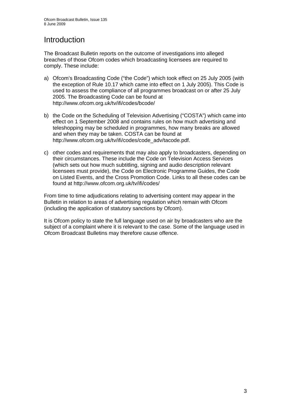# Introduction

The Broadcast Bulletin reports on the outcome of investigations into alleged breaches of those Ofcom codes which broadcasting licensees are required to comply. These include:

- a) Ofcom's Broadcasting Code ("the Code") which took effect on 25 July 2005 (with the exception of Rule 10.17 which came into effect on 1 July 2005). This Code is used to assess the compliance of all programmes broadcast on or after 25 July 2005. The Broadcasting Code can be found at http://www.ofcom.org.uk/tv/ifi/codes/bcode/
- b) the Code on the Scheduling of Television Advertising ("COSTA") which came into effect on 1 September 2008 and contains rules on how much advertising and teleshopping may be scheduled in programmes, how many breaks are allowed and when they may be taken. COSTA can be found at http://www.ofcom.org.uk/tv/ifi/codes/code\_adv/tacode.pdf.
- c) other codes and requirements that may also apply to broadcasters, depending on their circumstances. These include the Code on Television Access Services (which sets out how much subtitling, signing and audio description relevant licensees must provide), the Code on Electronic Programme Guides, the Code on Listed Events, and the Cross Promotion Code. Links to all these codes can be found at http://www.ofcom.org.uk/tv/ifi/codes/

From time to time adjudications relating to advertising content may appear in the Bulletin in relation to areas of advertising regulation which remain with Ofcom (including the application of statutory sanctions by Ofcom).

It is Ofcom policy to state the full language used on air by broadcasters who are the subject of a complaint where it is relevant to the case. Some of the language used in Ofcom Broadcast Bulletins may therefore cause offence.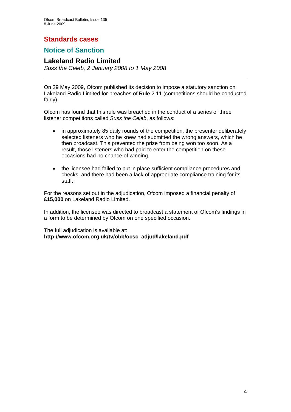## **Standards cases**

## **Notice of Sanction**

#### **Lakeland Radio Limited**

*Suss the Celeb, 2 January 2008 to 1 May 2008* 

On 29 May 2009, Ofcom published its decision to impose a statutory sanction on Lakeland Radio Limited for breaches of Rule 2.11 (competitions should be conducted fairly).

Ofcom has found that this rule was breached in the conduct of a series of three listener competitions called *Suss the Celeb*, as follows:

- in approximately 85 daily rounds of the competition, the presenter deliberately selected listeners who he knew had submitted the wrong answers, which he then broadcast. This prevented the prize from being won too soon. As a result, those listeners who had paid to enter the competition on these occasions had no chance of winning.
- the licensee had failed to put in place sufficient compliance procedures and checks, and there had been a lack of appropriate compliance training for its staff.

For the reasons set out in the adjudication, Ofcom imposed a financial penalty of **£15,000** on Lakeland Radio Limited.

In addition, the licensee was directed to broadcast a statement of Ofcom's findings in a form to be determined by Ofcom on one specified occasion.

The full adjudication is available at: **http://www.ofcom.org.uk/tv/obb/ocsc\_adjud/lakeland.pdf**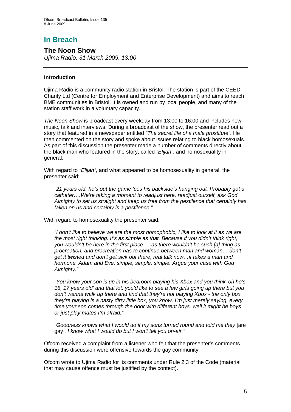## **In Breach**

**The Noon Show**  *Ujima Radio, 31 March 2009, 13:00* 

#### **Introduction**

Ujima Radio is a community radio station in Bristol. The station is part of the CEED Charity Ltd (Centre for Employment and Enterprise Development) and aims to reach BME communities in Bristol. It is owned and run by local people, and many of the station staff work in a voluntary capacity.

*The Noon Show* is broadcast every weekday from 13:00 to 16:00 and includes new music, talk and interviews. During a broadcast of the show, the presenter read out a story that featured in a newspaper entitled *"The secret life of a male prostitute"*. He then commented on the story and spoke about issues relating to black homosexuals. As part of this discussion the presenter made a number of comments directly about the black man who featured in the story, called *"Elijah"*, and homosexuality in general.

With regard to *"Elijah"*, and what appeared to be homosexuality in general, the presenter said:

*"21 years old, he's out the game 'cos his backside's hanging out. Probably got a catheter….We're taking a moment to readjust here, readjust ourself, ask God Almighty to set us straight and keep us free from the pestilence that certainly has fallen on us and certainly is a pestilence."* 

With regard to homosexuality the presenter said:

*"I don't like to believe we are the most homophobic, I like to look at it as we are the most right thinking. It's as simple as that. Because if you didn't think right, you wouldn't be here in the first place … as there wouldn't be such [a] thing as procreation, and procreation has to continue between man and woman… don't get it twisted and don't get sick out there, real talk now…it takes a man and hormone. Adam and Eve, simple, simple, simple. Argue your case with God Almighty."* 

*"You know your son is up in his bedroom playing his Xbox and you think 'oh he's 16, 17 years old' and that lot, you'd like to see a few girls going up there but you don't wanna walk up there and find that they're not playing Xbox - the only box they're playing is a nasty dirty little box, you know. I'm just merely saying, every time your son comes through the door with different boys, well it might be boys or just play mates I'm afraid."* 

*"Goodness knows what I would do if my sons turned round and told me they* [are gay]*, I know what I would do but I won't tell you on-air."* 

Ofcom received a complaint from a listener who felt that the presenter's comments during this discussion were offensive towards the gay community.

Ofcom wrote to Ujima Radio for its comments under Rule 2.3 of the Code (material that may cause offence must be justified by the context).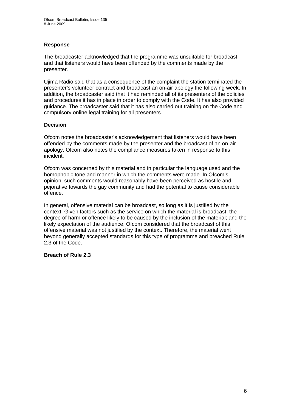#### **Response**

The broadcaster acknowledged that the programme was unsuitable for broadcast and that listeners would have been offended by the comments made by the presenter.

Ujima Radio said that as a consequence of the complaint the station terminated the presenter's volunteer contract and broadcast an on-air apology the following week. In addition, the broadcaster said that it had reminded all of its presenters of the policies and procedures it has in place in order to comply with the Code. It has also provided guidance. The broadcaster said that it has also carried out training on the Code and compulsory online legal training for all presenters.

#### **Decision**

Ofcom notes the broadcaster's acknowledgement that listeners would have been offended by the comments made by the presenter and the broadcast of an on-air apology. Ofcom also notes the compliance measures taken in response to this incident.

Ofcom was concerned by this material and in particular the language used and the homophobic tone and manner in which the comments were made. In Ofcom's opinion, such comments would reasonably have been perceived as hostile and pejorative towards the gay community and had the potential to cause considerable offence.

In general, offensive material can be broadcast, so long as it is justified by the context. Given factors such as the service on which the material is broadcast; the degree of harm or offence likely to be caused by the inclusion of the material; and the likely expectation of the audience, Ofcom considered that the broadcast of this offensive material was not justified by the context. Therefore, the material went beyond generally accepted standards for this type of programme and breached Rule 2.3 of the Code.

#### **Breach of Rule 2.3**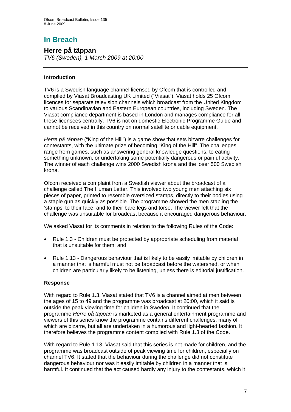# **In Breach**

# **Herre på täppan**

*TV6 (Sweden), 1 March 2009 at 20:00*

#### **Introduction**

TV6 is a Swedish language channel licensed by Ofcom that is controlled and complied by Viasat Broadcasting UK Limited ("Viasat"). Viasat holds 25 Ofcom licences for separate television channels which broadcast from the United Kingdom to various Scandinavian and Eastern European countries, including Sweden. The Viasat compliance department is based in London and manages compliance for all these licensees centrally. TV6 is not on domestic Electronic Programme Guide and cannot be received in this country on normal satellite or cable equipment.

*Herre på täppan* ("King of the Hill") is a game show that sets bizarre challenges for contestants, with the ultimate prize of becoming "King of the Hill". The challenges range from games, such as answering general knowledge questions, to eating something unknown, or undertaking some potentially dangerous or painful activity. The winner of each challenge wins 2000 Swedish krona and the loser 500 Swedish krona.

Ofcom received a complaint from a Swedish viewer about the broadcast of a challenge called The Human Letter. This involved two young men attaching six pieces of paper, printed to resemble oversized stamps, directly to their bodies using a staple gun as quickly as possible. The programme showed the men stapling the 'stamps' to their face, and to their bare legs and torso. The viewer felt that the challenge was unsuitable for broadcast because it encouraged dangerous behaviour.

We asked Viasat for its comments in relation to the following Rules of the Code:

- Rule 1.3 Children must be protected by appropriate scheduling from material that is unsuitable for them; and
- Rule 1.13 Dangerous behaviour that is likely to be easily imitable by children in a manner that is harmful must not be broadcast before the watershed, or when children are particularly likely to be listening, unless there is editorial justification.

#### **Response**

With regard to Rule 1.3, Viasat stated that TV6 is a channel aimed at men between the ages of 15 to 49 and the programme was broadcast at 20:00, which it said is outside the peak viewing time for children in Sweden. It continued that the programme *Herre på täppan* is marketed as a general entertainment programme and viewers of this series know the programme contains different challenges, many of which are bizarre, but all are undertaken in a humorous and light-hearted fashion. It therefore believes the programme content complied with Rule 1.3 of the Code.

With regard to Rule 1.13, Viasat said that this series is not made for children, and the programme was broadcast outside of peak viewing time for children, especially on channel TV6. It stated that the behaviour during the challenge did not constitute dangerous behaviour nor was it easily imitable by children in a manner that is harmful. It continued that the act caused hardly any injury to the contestants, which it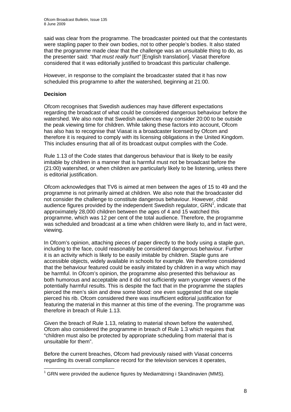said was clear from the programme. The broadcaster pointed out that the contestants were stapling paper to their own bodies, not to other people's bodies. It also stated that the programme made clear that the challenge was an unsuitable thing to do, as the presenter said: *"that must really hurt"* [English translation]. Viasat therefore considered that it was editorially justified to broadcast this particular challenge.

However, in response to the complaint the broadcaster stated that it has now scheduled this programme to after the watershed, beginning at 21:00.

#### **Decision**

Ofcom recognises that Swedish audiences may have different expectations regarding the broadcast of what could be considered dangerous behaviour before the watershed. We also note that Swedish audiences may consider 20:00 to be outside the peak viewing time for children. While taking these factors into account, Ofcom has also has to recognise that Viasat is a broadcaster licensed by Ofcom and therefore it is required to comply with its licensing obligations in the United Kingdom. This includes ensuring that all of its broadcast output complies with the Code.

Rule 1.13 of the Code states that dangerous behaviour that is likely to be easily imitable by children in a manner that is harmful must not be broadcast before the (21:00) watershed, or when children are particularly likely to be listening, unless there is editorial justification.

Ofcom acknowledges that TV6 is aimed at men between the ages of 15 to 49 and the programme is not primarily aimed at children. We also note that the broadcaster did not consider the challenge to constitute dangerous behaviour. However, child audience figures provided by the independent Swedish regulator,  $GRN<sup>1</sup>$ , indicate that approximately 28,000 children between the ages of 4 and 15 watched this programme, which was 12 per cent of the total audience. Therefore, the programme was scheduled and broadcast at a time when children were likely to, and in fact were, viewing.

In Ofcom's opinion, attaching pieces of paper directly to the body using a staple gun, including to the face, could reasonably be considered dangerous behaviour. Further it is an activity which is likely to be easily imitable by children. Staple guns are accessible objects, widely available in schools for example. We therefore considered that the behaviour featured could be easily imitated by children in a way which may be harmful. In Ofcom's opinion, the programme also presented this behaviour as both humorous and acceptable and it did not sufficiently warn younger viewers of the potentially harmful results. This is despite the fact that in the programme the staples pierced the men's skin and drew some blood: one even suggested that one staple pierced his rib. Ofcom considered there was insufficient editorial justification for featuring the material in this manner at this time of the evening. The programme was therefore in breach of Rule 1.13.

Given the breach of Rule 1.13, relating to material shown before the watershed, Ofcom also considered the programme in breach of Rule 1.3 which requires that "children must also be protected by appropriate scheduling from material that is unsuitable for them".

Before the current breaches, Ofcom had previously raised with Viasat concerns regarding its overall compliance record for the television services it operates,

<sup>1</sup>  $1$  GRN were provided the audience figures by Mediamätning i Skandinavien (MMS).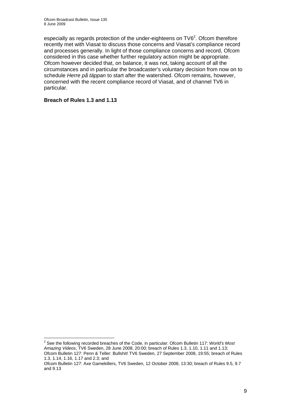especially as regards protection of the under-eighteens on  $TV6<sup>2</sup>$ . Ofcom therefore recently met with Viasat to discuss those concerns and Viasat's compliance record and processes generally. In light of those compliance concerns and record, Ofcom considered in this case whether further regulatory action might be appropriate. Ofcom however decided that, on balance, it was not, taking account of all the circumstances and in particular the broadcaster's voluntary decision from now on to schedule *Herre på täppan* to start after the watershed. Ofcom remains, however, concerned with the recent compliance record of Viasat, and of channel TV6 in particular.

#### **Breach of Rules 1.3 and 1.13**

<sup>1</sup> <sup>2</sup> See the following recorded breaches of the Code, in particular: Ofcom Bulletin 117: *World's Most Amazing Videos*, TV6 Sweden, 28 June 2008, 20:00; breach of Rules 1.3, 1.10, 1.11 and 1.13; Ofcom Bulletin 127: Penn & Teller: Bullshit! TV6 Sweden, 27 September 2008, 19:55; breach of Rules 1.3, 1.14, 1.16, 1.17 and 2.3; and

Ofcom Bulletin 127: Axe Gamekillers, TV6 Sweden, 12 October 2008, 13:30; breach of Rules 9.5, 9.7 and 9.13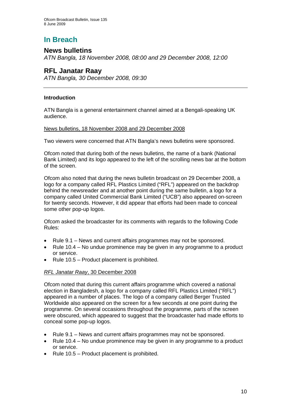# **In Breach**

## **News bulletins**

*ATN Bangla, 18 November 2008, 08:00 and 29 December 2008, 12:00* 

## **RFL Janatar Raay**

*ATN Bangla, 30 December 2008, 09:30* 

#### **Introduction**

ATN Bangla is a general entertainment channel aimed at a Bengali-speaking UK audience.

#### News bulletins, 18 November 2008 and 29 December 2008

Two viewers were concerned that ATN Bangla's news bulletins were sponsored.

Ofcom noted that during both of the news bulletins, the name of a bank (National Bank Limited) and its logo appeared to the left of the scrolling news bar at the bottom of the screen.

Ofcom also noted that during the news bulletin broadcast on 29 December 2008, a logo for a company called RFL Plastics Limited ("RFL") appeared on the backdrop behind the newsreader and at another point during the same bulletin, a logo for a company called United Commercial Bank Limited ("UCB") also appeared on-screen for twenty seconds. However, it did appear that efforts had been made to conceal some other pop-up logos.

Ofcom asked the broadcaster for its comments with regards to the following Code Rules:

- Rule 9.1 News and current affairs programmes may not be sponsored.
- Rule 10.4 No undue prominence may be given in any programme to a product or service.
- Rule 10.5 Product placement is prohibited.

#### *RFL Janatar Raay*, 30 December 2008

Ofcom noted that during this current affairs programme which covered a national election in Bangladesh, a logo for a company called RFL Plastics Limited ("RFL") appeared in a number of places. The logo of a company called Berger Trusted Worldwide also appeared on the screen for a few seconds at one point during the programme. On several occasions throughout the programme, parts of the screen were obscured, which appeared to suggest that the broadcaster had made efforts to conceal some pop-up logos.

- Rule 9.1 News and current affairs programmes may not be sponsored.
- Rule 10.4 No undue prominence may be given in any programme to a product or service.
- Rule 10.5 Product placement is prohibited.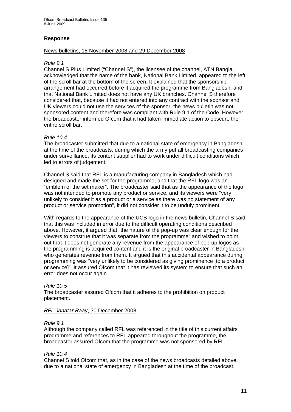#### **Response**

#### News bulletins, 18 November 2008 and 29 December 2008

#### *Rule 9.1*

Channel S Plus Limited ("Channel S"), the licensee of the channel, ATN Bangla, acknowledged that the name of the bank, National Bank Limited, appeared to the left of the scroll bar at the bottom of the screen. It explained that the sponsorship arrangement had occurred before it acquired the programme from Bangladesh, and that National Bank Limited does not have any UK branches. Channel S therefore considered that, because it had not entered into any contract with the sponsor and UK viewers could not use the services of the sponsor, the news bulletin was not sponsored content and therefore was compliant with Rule 9.1 of the Code. However, the broadcaster informed Ofcom that it had taken immediate action to obscure the entire scroll bar.

#### *Rule 10.4*

The broadcaster submitted that due to a national state of emergency in Bangladesh at the time of the broadcasts, during which the army put all broadcasting companies under surveillance, its content supplier had to work under difficult conditions which led to errors of judgement.

Channel S said that RFL is a manufacturing company in Bangladesh which had designed and made the set for the programme, and that the RFL logo was an "emblem of the set maker". The broadcaster said that as the appearance of the logo was not intended to promote any product or service, and its viewers were "very unlikely to consider it as a product or a service as there was no statement of any product or service promotion", it did not consider it to be unduly prominent.

With regards to the appearance of the UCB logo in the news bulletin, Channel S said that this was included in error due to the difficult operating conditions described above. However, it argued that "the nature of the pop-up was clear enough for the viewers to construe that it was separate from the programme" and wished to point out that it does not generate any revenue from the appearance of pop-up logos as the programming is acquired content and it is the original broadcaster in Bangladesh who generates revenue from them. It argued that this accidental appearance during programming was "very unlikely to be considered as giving prominence [to a product or service]". It assured Ofcom that it has reviewed its system to ensure that such an error does not occur again.

#### *Rule 10.5*

The broadcaster assured Ofcom that it adheres to the prohibition on product placement.

#### *RFL Janatar Raay*, 30 December 2008

#### *Rule 9.1*

Although the company called RFL was referenced in the title of this current affairs programme and references to RFL appeared throughout the programme, the broadcaster assured Ofcom that the programme was not sponsored by RFL.

#### *Rule 10.4*

Channel S told Ofcom that, as in the case of the news broadcasts detailed above, due to a national state of emergency in Bangladesh at the time of the broadcast,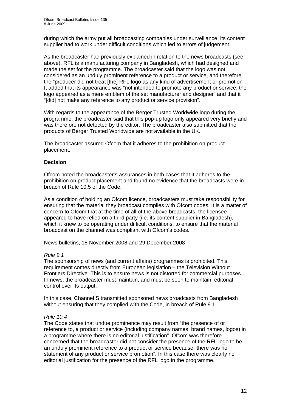during which the army put all broadcasting companies under surveillance, its content supplier had to work under difficult conditions which led to errors of judgement.

As the broadcaster had previously explained in relation to the news broadcasts (see above), RFL is a manufacturing company in Bangladesh, which had designed and made the set for the programme. The broadcaster said that the logo was not considered as an unduly prominent reference to a product or service, and therefore the "producer did not treat [the] RFL logo as any kind of advertisement or promotion". It added that its appearance was "not intended to promote any product or service; the logo appeared as a mere emblem of the set manufacturer and designer" and that it "[did] not make any reference to any product or service provision".

With regards to the appearance of the Berger Trusted Worldwide logo during the programme, the broadcaster said that this pop-up logo only appeared very briefly and was therefore not detected by the editor. The broadcaster also submitted that the products of Berger Trusted Worldwide are not available in the UK.

The broadcaster assured Ofcom that it adheres to the prohibition on product placement.

#### **Decision**

Ofcom noted the broadcaster's assurances in both cases that it adheres to the prohibition on product placement and found no evidence that the broadcasts were in breach of Rule 10.5 of the Code.

As a condition of holding an Ofcom licence, broadcasters must take responsibility for ensuring that the material they broadcast complies with Ofcom codes. It is a matter of concern to Ofcom that at the time of all of the above broadcasts, the licensee appeared to have relied on a third party (i.e. its content supplier in Bangladesh), which it knew to be operating under difficult conditions, to ensure that the material broadcast on the channel was compliant with Ofcom's codes.

#### News bulletins, 18 November 2008 and 29 December 2008

#### *Rule 9.1*

The sponsorship of news (and current affairs) programmes is prohibited. This requirement comes directly from European legislation – the Television Without Frontiers Directive. This is to ensure news is not distorted for commercial purposes. In news, the broadcaster must maintain, and must be seen to maintain, editorial control over its output.

In this case, Channel S transmitted sponsored news broadcasts from Bangladesh without ensuring that they complied with the Code, in breach of Rule 9.1.

#### *Rule 10.4*

The Code states that undue prominence may result from "the presence of or reference to, a product or service (including company names, brand names, logos) in a programme where there is no editorial justification". Ofcom was therefore concerned that the broadcaster did not consider the presence of the RFL logo to be an unduly prominent reference to a product or service because "there was no statement of any product or service promotion". In this case there was clearly no editorial justification for the presence of the RFL logo in the programme.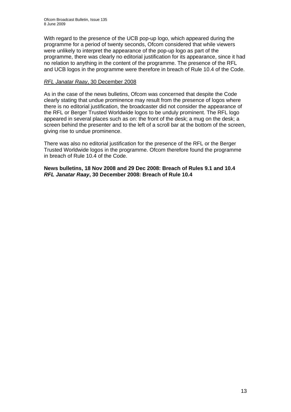With regard to the presence of the UCB pop-up logo, which appeared during the programme for a period of twenty seconds, Ofcom considered that while viewers were unlikely to interpret the appearance of the pop-up logo as part of the programme, there was clearly no editorial justification for its appearance, since it had no relation to anything in the content of the programme. The presence of the RFL and UCB logos in the programme were therefore in breach of Rule 10.4 of the Code.

#### *RFL Janatar Raay*, 30 December 2008

As in the case of the news bulletins, Ofcom was concerned that despite the Code clearly stating that undue prominence may result from the presence of logos where there is no editorial justification, the broadcaster did not consider the appearance of the RFL or Berger Trusted Worldwide logos to be unduly prominent. The RFL logo appeared in several places such as on: the front of the desk; a mug on the desk; a screen behind the presenter and to the left of a scroll bar at the bottom of the screen, giving rise to undue prominence.

There was also no editorial justification for the presence of the RFL or the Berger Trusted Worldwide logos in the programme. Ofcom therefore found the programme in breach of Rule 10.4 of the Code.

**News bulletins, 18 Nov 2008 and 29 Dec 2008: Breach of Rules 9.1 and 10.4** *RFL Janatar Raay***, 30 December 2008: Breach of Rule 10.4**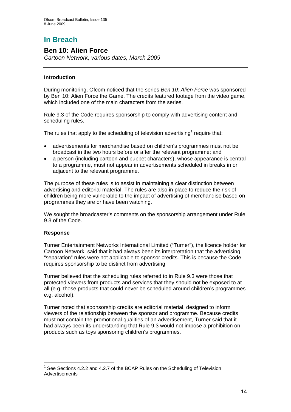# **In Breach**

### **Ben 10: Alien Force**

*Cartoon Network, various dates, March 2009* 

#### **Introduction**

During monitoring, Ofcom noticed that the series *Ben 10: Alien Force* was sponsored by Ben 10: Alien Force the Game. The credits featured footage from the video game, which included one of the main characters from the series.

Rule 9.3 of the Code requires sponsorship to comply with advertising content and scheduling rules.

The rules that apply to the scheduling of television advertising<sup>1</sup> require that:

- advertisements for merchandise based on children's programmes must not be broadcast in the two hours before or after the relevant programme; and
- a person (including cartoon and puppet characters), whose appearance is central to a programme, must not appear in advertisements scheduled in breaks in or adjacent to the relevant programme.

The purpose of these rules is to assist in maintaining a clear distinction between advertising and editorial material. The rules are also in place to reduce the risk of children being more vulnerable to the impact of advertising of merchandise based on programmes they are or have been watching.

We sought the broadcaster's comments on the sponsorship arrangement under Rule 9.3 of the Code.

#### **Response**

Turner Entertainment Networks International Limited ("Turner"), the licence holder for Cartoon Network, said that it had always been its interpretation that the advertising "separation" rules were not applicable to sponsor credits. This is because the Code requires sponsorship to be distinct from advertising.

Turner believed that the scheduling rules referred to in Rule 9.3 were those that protected viewers from products and services that they should not be exposed to at all (e.g. those products that could never be scheduled around children's programmes e.g. alcohol).

Turner noted that sponsorship credits are editorial material, designed to inform viewers of the relationship between the sponsor and programme. Because credits must not contain the promotional qualities of an advertisement, Turner said that it had always been its understanding that Rule 9.3 would not impose a prohibition on products such as toys sponsoring children's programmes.

<sup>1</sup>  $1$  See Sections 4.2.2 and 4.2.7 of the BCAP Rules on the Scheduling of Television **Advertisements**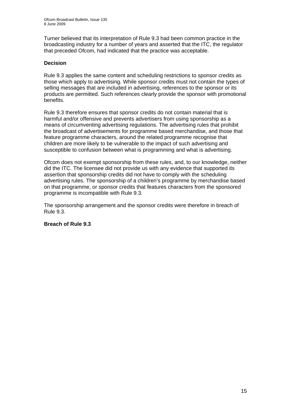Turner believed that its interpretation of Rule 9.3 had been common practice in the broadcasting industry for a number of years and asserted that the ITC, the regulator that preceded Ofcom, had indicated that the practice was acceptable.

#### **Decision**

Rule 9.3 applies the same content and scheduling restrictions to sponsor credits as those which apply to advertising. While sponsor credits must not contain the types of selling messages that are included in advertising, references to the sponsor or its products are permitted. Such references clearly provide the sponsor with promotional benefits.

Rule 9.3 therefore ensures that sponsor credits do not contain material that is harmful and/or offensive and prevents advertisers from using sponsorship as a means of circumventing advertising regulations. The advertising rules that prohibit the broadcast of advertisements for programme based merchandise, and those that feature programme characters, around the related programme recognise that children are more likely to be vulnerable to the impact of such advertising and susceptible to confusion between what is programming and what is advertising.

Ofcom does not exempt sponsorship from these rules, and, to our knowledge, neither did the ITC. The licensee did not provide us with any evidence that supported its assertion that sponsorship credits did not have to comply with the scheduling advertising rules. The sponsorship of a children's programme by merchandise based on that programme, or sponsor credits that features characters from the sponsored programme is incompatible with Rule 9.3.

The sponsorship arrangement and the sponsor credits were therefore in breach of Rule 9.3.

#### **Breach of Rule 9.3**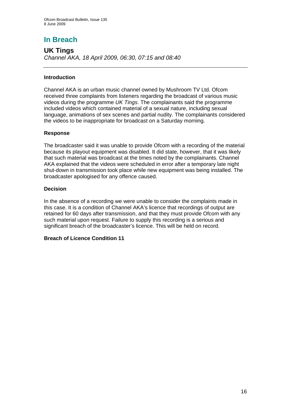# **In Breach**

**UK Tings**  *Channel AKA, 18 April 2009, 06:30, 07:15 and 08:40* 

#### **Introduction**

Channel AKA is an urban music channel owned by Mushroom TV Ltd. Ofcom received three complaints from listeners regarding the broadcast of various music videos during the programme *UK Tings*. The complainants said the programme included videos which contained material of a sexual nature, including sexual language, animations of sex scenes and partial nudity. The complainants considered the videos to be inappropriate for broadcast on a Saturday morning.

#### **Response**

The broadcaster said it was unable to provide Ofcom with a recording of the material because its playout equipment was disabled. It did state, however, that it was likely that such material was broadcast at the times noted by the complainants. Channel AKA explained that the videos were scheduled in error after a temporary late night shut-down in transmission took place while new equipment was being installed. The broadcaster apologised for any offence caused.

#### **Decision**

In the absence of a recording we were unable to consider the complaints made in this case. It is a condition of Channel AKA's licence that recordings of output are retained for 60 days after transmission, and that they must provide Ofcom with any such material upon request. Failure to supply this recording is a serious and significant breach of the broadcaster's licence. This will be held on record.

#### **Breach of Licence Condition 11**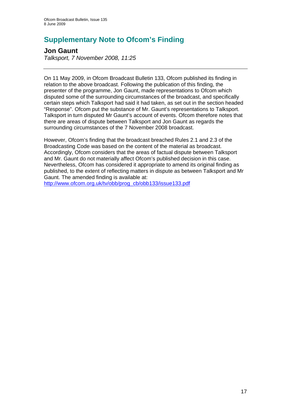# **Supplementary Note to Ofcom's Finding**

## **Jon Gaunt**

*Talksport, 7 November 2008, 11:25* 

On 11 May 2009, in Ofcom Broadcast Bulletin 133, Ofcom published its finding in relation to the above broadcast. Following the publication of this finding, the presenter of the programme, Jon Gaunt, made representations to Ofcom which disputed some of the surrounding circumstances of the broadcast, and specifically certain steps which Talksport had said it had taken, as set out in the section headed "Response". Ofcom put the substance of Mr. Gaunt's representations to Talksport. Talksport in turn disputed Mr Gaunt's account of events. Ofcom therefore notes that there are areas of dispute between Talksport and Jon Gaunt as regards the surrounding circumstances of the 7 November 2008 broadcast.

However, Ofcom's finding that the broadcast breached Rules 2.1 and 2.3 of the Broadcasting Code was based on the content of the material as broadcast. Accordingly, Ofcom considers that the areas of factual dispute between Talksport and Mr. Gaunt do not materially affect Ofcom's published decision in this case. Nevertheless, Ofcom has considered it appropriate to amend its original finding as published, to the extent of reflecting matters in dispute as between Talksport and Mr Gaunt. The amended finding is available at:

http://www.ofcom.org.uk/tv/obb/prog\_cb/obb133/issue133.pdf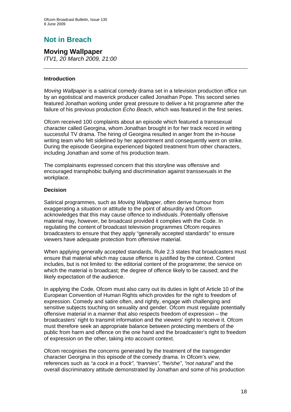# **Not in Breach**

# **Moving Wallpaper**

*ITV1, 20 March 2009, 21:00* 

#### **Introduction**

*Moving Wallpaper* is a satirical comedy drama set in a television production office run by an egotistical and maverick producer called Jonathan Pope. This second series featured Jonathan working under great pressure to deliver a hit programme after the failure of his previous production *Echo Beach*, which was featured in the first series.

Ofcom received 100 complaints about an episode which featured a transsexual character called Georgina, whom Jonathan brought in for her track record in writing successful TV drama. The hiring of Georgina resulted in anger from the in-house writing team who felt sidelined by her appointment and consequently went on strike. During the episode Georgina experienced bigoted treatment from other characters, including Jonathan and some of his production team.

The complainants expressed concern that this storyline was offensive and encouraged transphobic bullying and discrimination against transsexuals in the workplace.

#### **Decision**

Satirical programmes, such as *Moving Wallpaper,* often derive humour from exaggerating a situation or attitude to the point of absurdity and Ofcom acknowledges that this may cause offence to individuals. Potentially offensive material may, however, be broadcast provided it complies with the Code. In regulating the content of broadcast television programmes Ofcom requires broadcasters to ensure that they apply "generally accepted standards" to ensure viewers have adequate protection from offensive material.

When applying generally accepted standards, Rule 2.3 states that broadcasters must ensure that material which may cause offence is justified by the context. Context includes, but is not limited to: the editorial content of the programme; the service on which the material is broadcast; the degree of offence likely to be caused; and the likely expectation of the audience.

In applying the Code, Ofcom must also carry out its duties in light of Article 10 of the European Convention of Human Rights which provides for the right to freedom of expression. Comedy and satire often, and rightly, engage with challenging and sensitive subjects touching on sexuality and gender. Ofcom must regulate potentially offensive material in a manner that also respects freedom of expression – the broadcasters' right to transmit information and the viewers' right to receive it. Ofcom must therefore seek an appropriate balance between protecting members of the public from harm and offence on the one hand and the broadcaster's right to freedom of expression on the other, taking into account context.

Ofcom recognises the concerns generated by the treatment of the transgender character Georgina in this episode of the comedy drama. In Ofcom's view, references such as *"a cock in a frock"*, *"trannies"*, *"he/she"*, *"not natural"* and the overall discriminatory attitude demonstrated by Jonathan and some of his production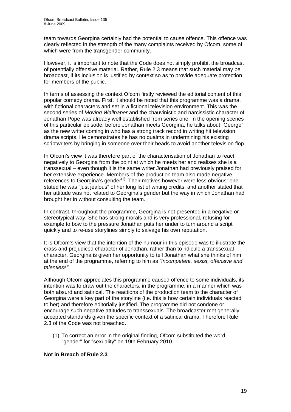team towards Georgina certainly had the potential to cause offence. This offence was clearly reflected in the strength of the many complaints received by Ofcom, some of which were from the transgender community.

However, it is important to note that the Code does not simply prohibit the broadcast of potentially offensive material. Rather, Rule 2.3 means that such material may be broadcast, if its inclusion is justified by context so as to provide adequate protection for members of the public.

In terms of assessing the context Ofcom firstly reviewed the editorial content of this popular comedy drama. First, it should be noted that this programme was a drama, with fictional characters and set in a fictional television environment. This was the second series of *Moving Wallpaper* and the chauvinistic and narcissistic character of Jonathan Pope was already well established from series one. In the opening scenes of this particular episode, before Jonathan meets Georgina, he talks about "George" as the new writer coming in who has a strong track record in writing hit television drama scripts. He demonstrates he has no qualms in undermining his existing scriptwriters by bringing in someone over their heads to avoid another television flop.

In Ofcom's view it was therefore part of the characterisation of Jonathan to react negatively to Georgina from the point at which he meets her and realises she is a transsexual – even though it is the same writer Jonathan had previously praised for her extensive experience. Members of the production team also made negative references to Georgina's gender<sup>(1)</sup>. Their motives however were less obvious: one stated he was "just jealous" of her long list of writing credits, and another stated that her attitude was not related to Georgina's gender but the way in which Jonathan had brought her in without consulting the team.

In contrast, throughout the programme, Georgina is not presented in a negative or stereotypical way. She has strong morals and is very professional, refusing for example to bow to the pressure Jonathan puts her under to turn around a script quickly and to re-use storylines simply to salvage his own reputation.

It is Ofcom's view that the intention of the humour in this episode was to illustrate the crass and prejudiced character of Jonathan, rather than to ridicule a transsexual character. Georgina is given her opportunity to tell Jonathan what she thinks of him at the end of the programme, referring to him as *"incompetent, sexist, offensive and talentless".* 

Although Ofcom appreciates this programme caused offence to some individuals, its intention was to draw out the characters, in the programme, in a manner which was both absurd and satirical. The reactions of the production team to the character of Georgina were a key part of the storyline (i.e. this is how certain individuals reacted to her) and therefore editorially justified. The programme did not condone or encourage such negative attitudes to transsexuals. The broadcaster met generally accepted standards given the specific context of a satirical drama. Therefore Rule 2.3 of the Code was not breached.

(1) To correct an error in the original finding, Ofcom substituted the word "gender" for "sexuality" on 19th February 2010.

#### **Not in Breach of Rule 2.3**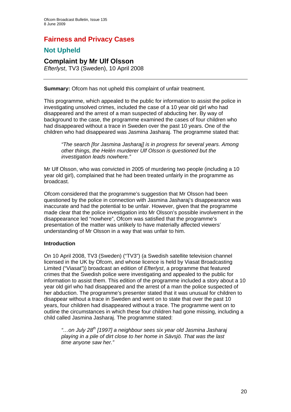## **Fairness and Privacy Cases**

## **Not Upheld**

**Complaint by Mr Ulf Olsson**  *Efterlyst*, TV3 (Sweden), 10 April 2008

**Summary:** Ofcom has not upheld this complaint of unfair treatment.

This programme, which appealed to the public for information to assist the police in investigating unsolved crimes, included the case of a 10 year old girl who had disappeared and the arrest of a man suspected of abducting her. By way of background to the case, the programme examined the cases of four children who had disappeared without a trace in Sweden over the past 10 years. One of the children who had disappeared was Jasmina Jasharaj. The programme stated that:

*"The search [for Jasmina Jasharaj] is in progress for several years. Among other things, the Helén murderer Ulf Olsson is questioned but the investigation leads nowhere."* 

Mr Ulf Olsson, who was convicted in 2005 of murdering two people (including a 10 year old girl), complained that he had been treated unfairly in the programme as broadcast.

Ofcom considered that the programme's suggestion that Mr Olsson had been questioned by the police in connection with Jasmina Jasharaj's disappearance was inaccurate and had the potential to be unfair. However, given that the programme made clear that the police investigation into Mr Olsson's possible involvement in the disappearance led "nowhere", Ofcom was satisfied that the programme's presentation of the matter was unlikely to have materially affected viewers' understanding of Mr Olsson in a way that was unfair to him.

#### **Introduction**

On 10 April 2008, TV3 (Sweden) ("TV3") (a Swedish satellite television channel licensed in the UK by Ofcom, and whose licence is held by Viasat Broadcasting Limited ("Viasat")) broadcast an edition of *Efterlyst*, a programme that featured crimes that the Swedish police were investigating and appealed to the public for information to assist them. This edition of the programme included a story about a 10 year old girl who had disappeared and the arrest of a man the police suspected of her abduction. The programme's presenter stated that it was unusual for children to disappear without a trace in Sweden and went on to state that over the past 10 years, four children had disappeared without a trace. The programme went on to outline the circumstances in which these four children had gone missing, including a child called Jasmina Jasharaj. The programme stated:

*"…on July 28th [1997] a neighbour sees six year old Jasmina Jasharaj playing in a pile of dirt close to her home in Sävsjö. That was the last time anyone saw her."*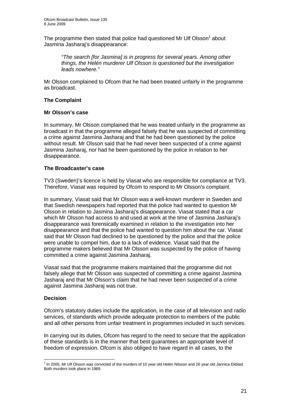The programme then stated that police had questioned Mr Ulf Olsson<sup>1</sup> about Jasmina Jasharaj's disappearance:

*"The search [for Jasmina] is in progress for several years. Among other things, the Helén murderer Ulf Olsson is questioned but the investigation leads nowhere."* 

Mr Olsson complained to Ofcom that he had been treated unfairly in the programme as broadcast.

#### **The Complaint**

#### **Mr Olsson's case**

In summary, Mr Olsson complained that he was treated unfairly in the programme as broadcast in that the programme alleged falsely that he was suspected of committing a crime against Jasmina Jasharaj and that he had been questioned by the police without result. Mr Olsson said that he had never been suspected of a crime against Jasmina Jasharaj, nor had he been questioned by the police in relation to her disappearance.

#### **The Broadcaster's case**

TV3 (Sweden)'s licence is held by Viasat who are responsible for compliance at TV3. Therefore, Viasat was required by Ofcom to respond to Mr Olsson's complaint.

In summary, Viasat said that Mr Olsson was a well-known murderer in Sweden and that Swedish newspapers had reported that the police had wanted to question Mr Olsson in relation to Jasmina Jasharaj's disappearance. Viasat stated that a car which Mr Olsson had access to and used at work at the time of Jasmina Jasharaj's disappearance was forensically examined in relation to the investigation into her disappearance and that the police had wanted to question him about the car. Viasat said that Mr Olsson had declined to be questioned by the police and that the police were unable to compel him, due to a lack of evidence. Viasat said that the programme makers believed that Mr Olsson was suspected by the police of having committed a crime against Jasmina Jasharaj.

Viasat said that the programme makers maintained that the programme did not falsely allege that Mr Olsson was suspected of committing a crime against Jasmina Jasharaj and that Mr Olsson's claim that he had never been suspected of a crime against Jasmina Jasharaj was not true.

#### **Decision**

Ofcom's statutory duties include the application, in the case of all television and radio services, of standards which provide adequate protection to members of the public and all other persons from unfair treatment in programmes included in such services.

In carrying out its duties, Ofcom has regard to the need to secure that the application of these standards is in the manner that best guarantees an appropriate level of freedom of expression. Ofcom is also obliged to have regard in all cases, to the

<sup>1</sup> <sup>1</sup> In 2005, Mr Ulf Olsson was convicted of the murders of 10 year old Helén Nilsson and 26 year old Jannica Ekblad. Both murders took place in 1989.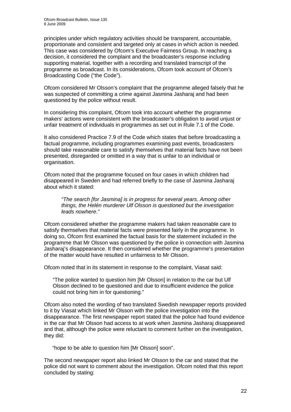principles under which regulatory activities should be transparent, accountable, proportionate and consistent and targeted only at cases in which action is needed. This case was considered by Ofcom's Executive Fairness Group. In reaching a decision, it considered the complaint and the broadcaster's response including supporting material, together with a recording and translated transcript of the programme as broadcast. In its considerations, Ofcom took account of Ofcom's Broadcasting Code ("the Code").

Ofcom considered Mr Olsson's complaint that the programme alleged falsely that he was suspected of committing a crime against Jasmina Jasharaj and had been questioned by the police without result.

In considering this complaint, Ofcom took into account whether the programme makers' actions were consistent with the broadcaster's obligation to avoid unjust or unfair treatment of individuals in programmes as set out in Rule 7.1 of the Code.

It also considered Practice 7.9 of the Code which states that before broadcasting a factual programme, including programmes examining past events, broadcasters should take reasonable care to satisfy themselves that material facts have not been presented, disregarded or omitted in a way that is unfair to an individual or organisation.

Ofcom noted that the programme focused on four cases in which children had disappeared in Sweden and had referred briefly to the case of Jasmina Jasharaj about which it stated:

*"The search [for Jasmina] is in progress for several years. Among other things, the Helén murderer Ulf Olsson is questioned but the investigation leads nowhere."* 

Ofcom considered whether the programme makers had taken reasonable care to satisfy themselves that material facts were presented fairly in the programme. In doing so, Ofcom first examined the factual basis for the statement included in the programme that Mr Olsson was questioned by the police in connection with Jasmina Jasharaj's disappearance. It then considered whether the programme's presentation of the matter would have resulted in unfairness to Mr Olsson.

Ofcom noted that in its statement in response to the complaint, Viasat said:

"The police wanted to question him [Mr Olsson] in relation to the car but Ulf Olsson declined to be questioned and due to insufficient evidence the police could not bring him in for questioning."

Ofcom also noted the wording of two translated Swedish newspaper reports provided to it by Viasat which linked Mr Olsson with the police investigation into the disappearance. The first newspaper report stated that the police had found evidence in the car that Mr Olsson had access to at work when Jasmina Jasharaj disappeared and that, although the police were reluctant to comment further on the investigation, they did:

"hope to be able to question him [Mr Olsson] soon".

The second newspaper report also linked Mr Olsson to the car and stated that the police did not want to comment about the investigation. Ofcom noted that this report concluded by stating: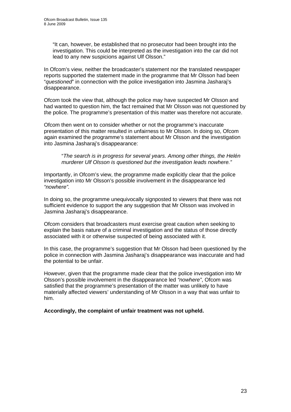"It can, however, be established that no prosecutor had been brought into the investigation. This could be interpreted as the investigation into the car did not lead to any new suspicions against Ulf Olsson."

In Ofcom's view, neither the broadcaster's statement nor the translated newspaper reports supported the statement made in the programme that Mr Olsson had been "*questioned*" in connection with the police investigation into Jasmina Jasharaj's disappearance.

Ofcom took the view that, although the police may have suspected Mr Olsson and had wanted to question him, the fact remained that Mr Olsson was not questioned by the police. The programme's presentation of this matter was therefore not accurate.

Ofcom then went on to consider whether or not the programme's inaccurate presentation of this matter resulted in unfairness to Mr Olsson. In doing so, Ofcom again examined the programme's statement about Mr Olsson and the investigation into Jasmina Jasharaj's disappearance:

"*The search is in progress for several years. Among other things, the Helén murderer Ulf Olsson is questioned but the investigation leads nowhere."* 

Importantly, in Ofcom's view, the programme made explicitly clear that the police investigation into Mr Olsson's possible involvement in the disappearance led *"nowhere".*

In doing so, the programme unequivocally signposted to viewers that there was not sufficient evidence to support the any suggestion that Mr Olsson was involved in Jasmina Jasharaj's disappearance.

Ofcom considers that broadcasters must exercise great caution when seeking to explain the basis nature of a criminal investigation and the status of those directly associated with it or otherwise suspected of being associated with it.

In this case, the programme's suggestion that Mr Olsson had been questioned by the police in connection with Jasmina Jasharaj's disappearance was inaccurate and had the potential to be unfair.

However, given that the programme made clear that the police investigation into Mr Olsson's possible involvement in the disappearance led *"nowhere"*, Ofcom was satisfied that the programme's presentation of the matter was unlikely to have materially affected viewers' understanding of Mr Olsson in a way that was unfair to him.

**Accordingly, the complaint of unfair treatment was not upheld.**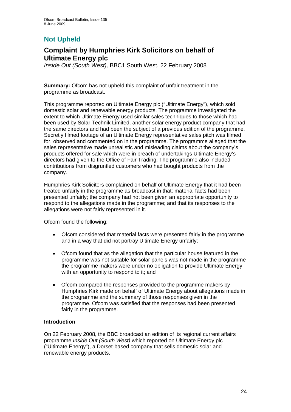## **Not Upheld**

## **Complaint by Humphries Kirk Solicitors on behalf of Ultimate Energy plc**

*Inside Out (South West),* BBC1 South West, 22 February 2008

**Summary:** Ofcom has not upheld this complaint of unfair treatment in the programme as broadcast.

This programme reported on Ultimate Energy plc ("Ultimate Energy"), which sold domestic solar and renewable energy products. The programme investigated the extent to which Ultimate Energy used similar sales techniques to those which had been used by Solar Technik Limited, another solar energy product company that had the same directors and had been the subject of a previous edition of the programme. Secretly filmed footage of an Ultimate Energy representative sales pitch was filmed for, observed and commented on in the programme. The programme alleged that the sales representative made unrealistic and misleading claims about the company's products offered for sale which were in breach of undertakings Ultimate Energy's directors had given to the Office of Fair Trading. The programme also included contributions from disgruntled customers who had bought products from the company.

Humphries Kirk Solicitors complained on behalf of Ultimate Energy that it had been treated unfairly in the programme as broadcast in that: material facts had been presented unfairly; the company had not been given an appropriate opportunity to respond to the allegations made in the programme; and that its responses to the allegations were not fairly represented in it.

Ofcom found the following:

- Ofcom considered that material facts were presented fairly in the programme and in a way that did not portray Ultimate Energy unfairly;
- Ofcom found that as the allegation that the particular house featured in the programme was not suitable for solar panels was not made in the programme the programme makers were under no obligation to provide Ultimate Energy with an opportunity to respond to it; and
- Ofcom compared the responses provided to the programme makers by Humphries Kirk made on behalf of Ultimate Energy about allegations made in the programme and the summary of those responses given in the programme. Ofcom was satisfied that the responses had been presented fairly in the programme.

#### **Introduction**

On 22 February 2008, the BBC broadcast an edition of its regional current affairs programme *Inside Out (South West)* which reported on Ultimate Energy plc ("Ultimate Energy"), a Dorset-based company that sells domestic solar and renewable energy products.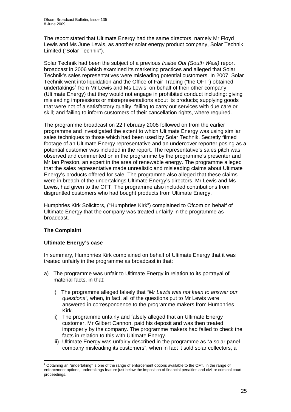The report stated that Ultimate Energy had the same directors, namely Mr Floyd Lewis and Ms June Lewis, as another solar energy product company, Solar Technik Limited ("Solar Technik").

Solar Technik had been the subject of a previous *Inside Out (South West)* report broadcast in 2006 which examined its marketing practices and alleged that Solar Technik's sales representatives were misleading potential customers. In 2007, Solar Technik went into liquidation and the Office of Fair Trading ("the OFT") obtained undertakings<sup>1</sup> from Mr Lewis and Ms Lewis, on behalf of their other company (Ultimate Energy) that they would not engage in prohibited conduct including: giving misleading impressions or misrepresentations about its products; supplying goods that were not of a satisfactory quality; failing to carry out services with due care or skill; and failing to inform customers of their cancellation rights, where required.

The programme broadcast on 22 February 2008 followed on from the earlier programme and investigated the extent to which Ultimate Energy was using similar sales techniques to those which had been used by Solar Technik. Secretly filmed footage of an Ultimate Energy representative and an undercover reporter posing as a potential customer was included in the report. The representative's sales pitch was observed and commented on in the programme by the programme's presenter and Mr Ian Preston, an expert in the area of renewable energy. The programme alleged that the sales representative made unrealistic and misleading claims about Ultimate Energy's products offered for sale. The programme also alleged that these claims were in breach of the undertakings Ultimate Energy's directors, Mr Lewis and Ms Lewis, had given to the OFT. The programme also included contributions from disgruntled customers who had bought products from Ultimate Energy.

Humphries Kirk Solicitors, ("Humphries Kirk") complained to Ofcom on behalf of Ultimate Energy that the company was treated unfairly in the programme as broadcast.

#### **The Complaint**

#### **Ultimate Energy's case**

In summary, Humphries Kirk complained on behalf of Ultimate Energy that it was treated unfairly in the programme as broadcast in that:

- a) The programme was unfair to Ultimate Energy in relation to its portrayal of material facts, in that:
	- i) The programme alleged falsely that *"Mr Lewis was not keen to answer our questions"*, when, in fact, all of the questions put to Mr Lewis were answered in correspondence to the programme makers from Humphries Kirk.
	- ii) The programme unfairly and falsely alleged that an Ultimate Energy customer, Mr Gilbert Cannon, paid his deposit and was then treated improperly by the company. The programme makers had failed to check the facts in relation to this with Ultimate Energy.
	- iii) Ultimate Energy was unfairly described in the programme as "a solar panel company misleading its customers", when in fact it sold solar collectors, a

<sup>1</sup> <sup>1</sup> Obtaining an "undertaking" is one of the range of enforcement options available to the OFT. In the range of enforcement options, undertakings feature just below the imposition of financial penalties and civil or criminal court proceedings.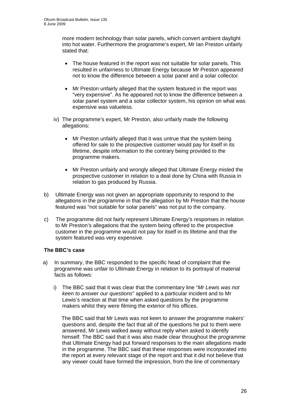more modern technology than solar panels, which convert ambient daylight into hot water. Furthermore the programme's expert, Mr Ian Preston unfairly stated that:

- The house featured in the report was not suitable for solar panels. This resulted in unfairness to Ultimate Energy because Mr Preston appeared not to know the difference between a solar panel and a solar collector.
- Mr Preston unfairly alleged that the system featured in the report was "very expensive". As he appeared not to know the difference between a solar panel system and a solar collector system, his opinion on what was expensive was valueless.
- iv) The programme's expert, Mr Preston, also unfairly made the following allegations:
	- Mr Preston unfairly alleged that it was untrue that the system being offered for sale to the prospective customer would pay for itself in its lifetime, despite information to the contrary being provided to the programme makers.
	- Mr Preston unfairly and wrongly alleged that Ultimate Energy misled the prospective customer in relation to a deal done by China with Russia in relation to gas produced by Russia.
- b) Ultimate Energy was not given an appropriate opportunity to respond to the allegations in the programme in that the allegation by Mr Preston that the house featured was "not suitable for solar panels" was not put to the company.
- c) The programme did not fairly represent Ultimate Energy's responses in relation to Mr Preston's allegations that the system being offered to the prospective customer in the programme would not pay for itself in its lifetime and that the system featured was very expensive.

#### **The BBC's case**

- a) In summary, the BBC responded to the specific head of complaint that the programme was unfair to Ultimate Energy in relation to its portrayal of material facts as follows:
	- i) The BBC said that it was clear that the commentary line "*Mr Lewis was not keen to answer our questions*" applied to a particular incident and to Mr Lewis's reaction at that time when asked questions by the programme makers whilst they were filming the exterior of his offices.

The BBC said that Mr Lewis was not keen to answer the programme makers' questions and, despite the fact that all of the questions he put to them were answered, Mr Lewis walked away without reply when asked to identify himself. The BBC said that it was also made clear throughout the programme that Ultimate Energy had put forward responses to the main allegations made in the programme. The BBC said that these responses were incorporated into the report at every relevant stage of the report and that it did not believe that any viewer could have formed the impression, from the line of commentary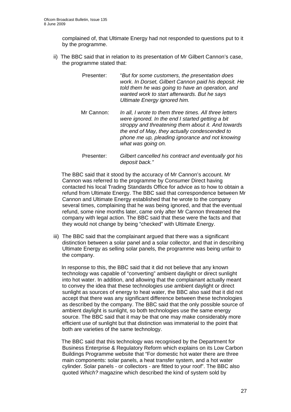complained of, that Ultimate Energy had not responded to questions put to it by the programme.

- ii) The BBC said that in relation to its presentation of Mr Gilbert Cannon's case, the programme stated that:
	- Presenter: "*But for some customers, the presentation does work. In Dorset, Gilbert Cannon paid his deposit. He told them he was going to have an operation, and wanted work to start afterwards. But he says Ultimate Energy ignored him.*
	- Mr Cannon: *In all, I wrote to them three times. All three letters were ignored. In the end I started getting a bit stroppy and threatening them about it. And towards the end of May, they actually condescended to phone me up, pleading ignorance and not knowing what was going on.*
	- Presenter: *Gilbert cancelled his contract and eventually got his deposit back."*

The BBC said that it stood by the accuracy of Mr Cannon's account. Mr Cannon was referred to the programme by Consumer Direct having contacted his local Trading Standards Office for advice as to how to obtain a refund from Ultimate Energy. The BBC said that correspondence between Mr Cannon and Ultimate Energy established that he wrote to the company several times, complaining that he was being ignored, and that the eventual refund, some nine months later, came only after Mr Cannon threatened the company with legal action. The BBC said that these were the facts and that they would not change by being "checked" with Ultimate Energy.

iii) The BBC said that the complainant argued that there was a significant distinction between a solar panel and a solar collector, and that in describing Ultimate Energy as selling solar panels, the programme was being unfair to the company.

In response to this, the BBC said that it did not believe that any known technology was capable of "converting" ambient daylight or direct sunlight into hot water. In addition, and allowing that the complainant actually meant to convey the idea that these technologies use ambient daylight or direct sunlight as sources of energy to heat water, the BBC also said that it did not accept that there was any significant difference between these technologies as described by the company. The BBC said that the only possible source of ambient daylight is sunlight, so both technologies use the same energy source. The BBC said that it may be that one may make considerably more efficient use of sunlight but that distinction was immaterial to the point that both are varieties of the same technology.

The BBC said that this technology was recognised by the Department for Business Enterprise & Regulatory Reform which explains on its Low Carbon Buildings Programme website that "For domestic hot water there are three main components: solar panels, a heat transfer system, and a hot water cylinder. Solar panels - or collectors - are fitted to your roof". The BBC also quoted *Which?* magazine which described the kind of system sold by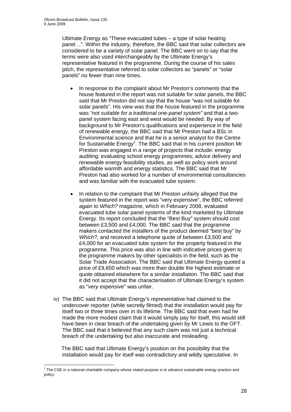Ultimate Energy as "These evacuated tubes – a type of solar heating panel…". Within the industry, therefore, the BBC said that solar collectors are considered to be a variety of solar panel. The BBC went on to say that the terms were also used interchangeably by the Ultimate Energy's representative featured in the programme. During the course of his sales pitch, the representative referred to solar collectors as "panels" or "solar panels" no fewer than nine times.

- In response to the complaint about Mr Preston's comments that the house featured in the report was not suitable for solar panels, the BBC said that Mr Preston did not say that the house "was not suitable for solar panels". His view was that the house featured in the programme was *"not suitable for a traditional one-panel system"* and that a twopanel system facing east and west would be needed. By way of background to Mr Preston's qualifications and experience in the field of renewable energy, the BBC said that Mr Preston had a BSc in Environmental science and that he is a senior analyst for the Centre for Sustainable Energy<sup>2</sup>. The BBC said that in his current position Mr Preston was engaged in a range of projects that include: energy auditing; evaluating school energy programmes; advice delivery and renewable energy feasibility studies, as well as policy work around affordable warmth and energy statistics. The BBC said that Mr Preston had also worked for a number of environmental consultancies and was familiar with the evacuated tube system.
- In relation to the complaint that Mr Preston unfairly alleged that the system featured in the report was "very expensive", the BBC referred again to *Which?* magazine, which in February 2008, evaluated evacuated tube solar panel systems of the kind marketed by Ultimate Energy. Its report concluded that the "Best Buy" system should cost between £3,500 and £4,000. The BBC said that the programme makers contacted the installers of the product deemed "best buy" by *Which?,* and received a telephone quote of between £3,500 and £4,000 for an evacuated tube system for the property featured in the programme. This price was also in line with indicative prices given to the programme makers by other specialists in the field, such as the Solar Trade Association. The BBC said that Ultimate Energy quoted a price of £9,650 which was more than double the highest estimate or quote obtained elsewhere for a similar installation. The BBC said that it did not accept that the characterisation of Ultimate Energy's system as "*very expensive*" was unfair.
- iv) The BBC said that Ultimate Energy's representative had claimed to the undercover reporter (while secretly filmed) that the installation would pay for itself two or three times over in its lifetime. The BBC said that even had he made the more modest claim that it would simply pay for itself, this would still have been in clear breach of the undertaking given by Mr Lewis to the OFT. The BBC said that it believed that any such claim was not just a technical breach of the undertaking but also inaccurate and misleading.

The BBC said that Ultimate Energy's position on the possibility that the installation would pay for itself was contradictory and wildly speculative. In

 2 The CSE is a national charitable company whose stated purpose is to advance sustainable energy practice and policy.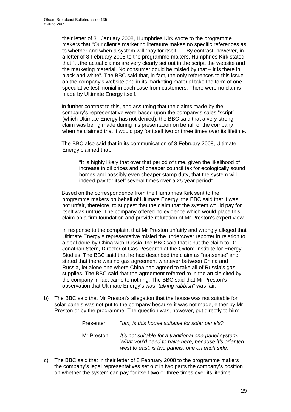their letter of 31 January 2008, Humphries Kirk wrote to the programme makers that "Our client's marketing literature makes no specific references as to whether and when a system will "pay for itself…". By contrast, however, in a letter of 8 February 2008 to the programme makers, Humphries Kirk stated that "*…*the actual claims are very clearly set out in the script, the website and the marketing material. No consumer could be misled by that – it is there in black and white". The BBC said that, in fact, the only references to this issue on the company's website and in its marketing material take the form of one speculative testimonial in each case from customers. There were no claims made by Ultimate Energy itself.

In further contrast to this, and assuming that the claims made by the company's representative were based upon the company's sales "script" (which Ultimate Energy has not denied), the BBC said that a very strong claim was being made during his presentation on behalf of the company when he claimed that it would pay for itself two or three times over its lifetime.

The BBC also said that in its communication of 8 February 2008, Ultimate Energy claimed that:

"It is highly likely that over that period of time, given the likelihood of increase in oil prices and of cheaper council tax for ecologically sound homes and possibly even cheaper stamp duty, that the system will indeed pay for itself several times over a 25 year period".

Based on the correspondence from the Humphries Kirk sent to the programme makers on behalf of Ultimate Energy, the BBC said that it was not unfair, therefore, to suggest that the claim that the system would pay for itself was untrue. The company offered no evidence which would place this claim on a firm foundation and provide refutation of Mr Preston's expert view.

 In response to the complaint that Mr Preston unfairly and wrongly alleged that Ultimate Energy's representative misled the undercover reporter in relation to a deal done by China with Russia, the BBC said that it put the claim to Dr Jonathan Stern, Director of Gas Research at the Oxford Institute for Energy Studies. The BBC said that he had described the claim as "nonsense" and stated that there was no gas agreement whatever between China and Russia, let alone one where China had agreed to take all of Russia's gas supplies. The BBC said that the agreement referred to in the article cited by the company in fact came to nothing. The BBC said that Mr Preston's observation that Ultimate Energy's was "*talking rubbish*" was fair.

b) The BBC said that Mr Preston's allegation that the house was not suitable for solar panels was not put to the company because it was not made, either by Mr Preston or by the programme. The question was, however, put directly to him:

| Presenter:  | "Ian, is this house suitable for solar panels?                                                                                                                  |
|-------------|-----------------------------------------------------------------------------------------------------------------------------------------------------------------|
| Mr Preston: | It's not suitable for a traditional one-panel system.<br>What you'd need to have here, because it's oriented<br>west to east, is two panels, one on each side." |

c) The BBC said that in their letter of 8 February 2008 to the programme makers the company's legal representatives set out in two parts the company's position on whether the system can pay for itself two or three times over its lifetime.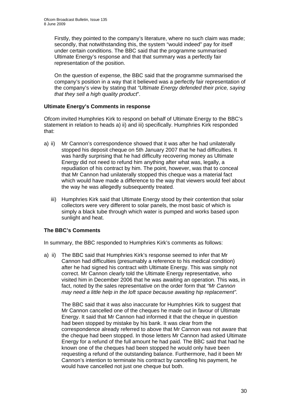Firstly, they pointed to the company's literature, where no such claim was made; secondly, that notwithstanding this, the system "would indeed" pay for itself under certain conditions. The BBC said that the programme summarised Ultimate Energy's response and that that summary was a perfectly fair representation of the position.

On the question of expense, the BBC said that the programme summarised the company's position in a way that it believed was a perfectly fair representation of the company's view by stating that *"Ultimate Energy defended their price, saying that they sell a high quality product*".

#### **Ultimate Energy's Comments in response**

Ofcom invited Humphries Kirk to respond on behalf of Ultimate Energy to the BBC's statement in relation to heads a) ii) and iii) specifically. Humphries Kirk responded that:

- a) ii) Mr Cannon's correspondence showed that it was after he had unilaterally stopped his deposit cheque on 5th January 2007 that he had difficulties. It was hardly surprising that he had difficulty recovering money as Ultimate Energy did not need to refund him anything after what was, legally, a repudiation of his contract by him. The point, however, was that to conceal that Mr Cannon had unilaterally stopped this cheque was a material fact which would have made a difference to the way that viewers would feel about the way he was allegedly subsequently treated.
	- iii) Humphries Kirk said that Ultimate Energy stood by their contention that solar collectors were very different to solar panels, the most basic of which is simply a black tube through which water is pumped and works based upon sunlight and heat.

#### **The BBC's Comments**

In summary, the BBC responded to Humphries Kirk's comments as follows:

a) ii) The BBC said that Humphries Kirk's response seemed to infer that Mr Cannon had difficulties (presumably a reference to his medical condition) after he had signed his contract with Ultimate Energy. This was simply not correct. Mr Cannon clearly told the Ultimate Energy representative, who visited him in December 2006 that he was awaiting an operation. This was, in fact, noted by the sales representative on the order form that *"Mr Cannon may need a little help in the loft space because awaiting hip replacement".*

The BBC said that it was also inaccurate for Humphries Kirk to suggest that Mr Cannon cancelled one of the cheques he made out in favour of Ultimate Energy. It said that Mr Cannon had informed it that the cheque in question had been stopped by mistake by his bank. It was clear from the correspondence already referred to above that Mr Cannon was not aware that the cheque had been stopped. In those letters Mr Cannon had asked Ultimate Energy for a refund of the full amount he had paid. The BBC said that had he known one of the cheques had been stopped he would only have been requesting a refund of the outstanding balance. Furthermore, had it been Mr Cannon's intention to terminate his contract by cancelling his payment, he would have cancelled not just one cheque but both.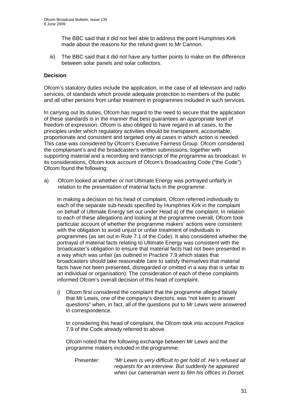The BBC said that it did not feel able to address the point Humphries Kirk made about the reasons for the refund given to Mr Cannon.

iii) The BBC said that it did not have any further points to make on the difference between solar panels and solar collectors.

#### **Decision**

Ofcom's statutory duties include the application, in the case of all television and radio services, of standards which provide adequate protection to members of the public and all other persons from unfair treatment in programmes included in such services.

In carrying out its duties, Ofcom has regard to the need to secure that the application of these standards is in the manner that best guarantees an appropriate level of freedom of expression. Ofcom is also obliged to have regard in all cases, to the principles under which regulatory activities should be transparent, accountable, proportionate and consistent and targeted only at cases in which action is needed. This case was considered by Ofcom's Executive Fairness Group. Ofcom considered the complainant's and the broadcaster's written submissions, together with supporting material and a recording and transcript of the programme as broadcast. In its considerations, Ofcom took account of Ofcom's Broadcasting Code ("the Code"). Ofcom found the following:

a) Ofcom looked at whether or not Ultimate Energy was portrayed unfairly in relation to the presentation of material facts in the programme.

 In making a decision on his head of complaint, Ofcom referred individually to each of the separate sub-heads specified by Humphries Kirk in the complaint on behalf of Ultimate Energy set out under Head a) of the complaint. In relation to each of these allegations and looking at the programme overall, Ofcom took particular account of whether the programme makers' actions were consistent with the obligation to avoid unjust or unfair treatment of individuals in programmes (as set out in Rule 7.1 of the Code). It also considered whether the portrayal of material facts relating to Ultimate Energy was consistent with the broadcaster's obligation to ensure that material facts had not been presented in a way which was unfair (as outlined in Practice 7.9 which states that broadcasters should take reasonable care to satisfy themselves that material facts have not been presented, disregarded or omitted in a way that is unfair to an individual or organisation). The consideration of each of these complaints informed Ofcom's overall decision of this head of complaint.

i) Ofcom first considered the complaint that the programme alleged falsely that Mr Lewis, one of the company's directors, was "not keen to answer questions" when, in fact, all of the questions put to Mr Lewis were answered in correspondence.

In considering this head of complaint, the Ofcom took into account Practice 7.9 of the Code already referred to above.

Ofcom noted that the following exchange between Mr Lewis and the programme makers included in the programme:

 Presenter: *"Mr Lewis is very difficult to get hold of. He's refused all requests for an interview. But suddenly he appeared when our cameraman went to film his offices in Dorset.*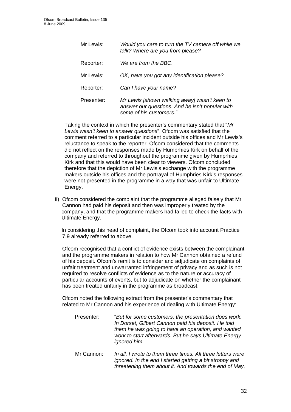| Mr Lewis:  | Would you care to turn the TV camera off while we<br>talk? Where are you from please?                                      |
|------------|----------------------------------------------------------------------------------------------------------------------------|
| Reporter:  | We are from the BBC.                                                                                                       |
| Mr Lewis:  | OK, have you got any identification please?                                                                                |
| Reporter:  | Can I have your name?                                                                                                      |
| Presenter: | Mr Lewis [shown walking away] wasn't keen to<br>answer our questions. And he isn't popular with<br>some of his customers." |

Taking the context in which the presenter's commentary stated that "*Mr Lewis wasn't keen to answer questions*", Ofcom was satisfied that the comment referred to a particular incident outside his offices and Mr Lewis's reluctance to speak to the reporter. Ofcom considered that the comments did not reflect on the responses made by Humprhies Kirk on behalf of the company and referred to throughout the programme given by Humprhies Kirk and that this would have been clear to viewers. Ofcom concluded therefore that the depiction of Mr Lewis's exchange with the programme makers outside his offices and the portrayal of Humphries Kirk's responses were not presented in the programme in a way that was unfair to Ultimate Energy.

 ii) Ofcom considered the complaint that the programme alleged falsely that Mr Cannon had paid his deposit and then was improperly treated by the company, and that the programme makers had failed to check the facts with Ultimate Energy.

In considering this head of complaint, the Ofcom took into account Practice 7.9 already referred to above.

 Ofcom recognised that a conflict of evidence exists between the complainant and the programme makers in relation to how Mr Cannon obtained a refund of his deposit. Ofcom's remit is to consider and adjudicate on complaints of unfair treatment and unwarranted infringement of privacy and as such is not required to resolve conflicts of evidence as to the nature or accuracy of particular accounts of events, but to adjudicate on whether the complainant has been treated unfairly in the programme as broadcast.

 Ofcom noted the following extract from the presenter's commentary that related to Mr Cannon and his experience of dealing with Ultimate Energy:

| Presenter: | "But for some customers, the presentation does work.<br>In Dorset, Gilbert Cannon paid his deposit. He told<br>them he was going to have an operation, and wanted<br>work to start afterwards. But he says Ultimate Energy<br>ignored him. |
|------------|--------------------------------------------------------------------------------------------------------------------------------------------------------------------------------------------------------------------------------------------|
| Mr Cannon: | In all, I wrote to them three times. All three letters were<br>ignored. In the end I started getting a bit stroppy and<br>threatening them about it. And towards the end of May,                                                           |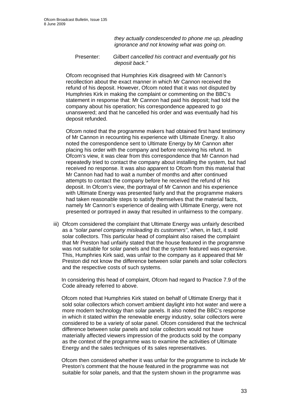*they actually condescended to phone me up, pleading ignorance and not knowing what was going on.* 

 Presenter: *Gilbert cancelled his contract and eventually got his deposit back."* 

Ofcom recognised that Humphries Kirk disagreed with Mr Cannon's recollection about the exact manner in which Mr Cannon received the refund of his deposit. However, Ofcom noted that it was not disputed by Humphries Kirk in making the complaint or commenting on the BBC's statement in response that: Mr Cannon had paid his deposit; had told the company about his operation; his correspondence appeared to go unanswered; and that he cancelled his order and was eventually had his deposit refunded.

Ofcom noted that the programme makers had obtained first hand testimony of Mr Cannon in recounting his experience with Ultimate Energy. It also noted the correspondence sent to Ultimate Energy by Mr Cannon after placing his order with the company and before receiving his refund. In Ofcom's view, it was clear from this correspondence that Mr Cannon had repeatedly tried to contact the company about installing the system, but had received no response. It was also apparent to Ofcom from this material that Mr Cannon had had to wait a number of months and after continued attempts to contact the company before he received the refund of his deposit. In Ofcom's view, the portrayal of Mr Cannon and his experience with Ultimate Energy was presented fairly and that the programme makers had taken reasonable steps to satisfy themselves that the material facts, namely Mr Cannon's experience of dealing with Ultimate Energy, were not presented or portrayed in away that resulted in unfairness to the company.

iii) Ofcom considered the complaint that Ultimate Energy was unfairly described as a *"solar panel company misleading its customers"*, when, in fact, it sold solar collectors. This particular head of complaint also raised the complaint that Mr Preston had unfairly stated that the house featured in the programme was not suitable for solar panels and that the system featured was expensive. This, Humphries Kirk said, was unfair to the company as it appeared that Mr Preston did not know the difference between solar panels and solar collectors and the respective costs of such systems.

In considering this head of complaint, Ofcom had regard to Practice 7.9 of the Code already referred to above.

Ofcom noted that Humphries Kirk stated on behalf of Ultimate Energy that it sold solar collectors which convert ambient daylight into hot water and were a more modern technology than solar panels. It also noted the BBC's response in which it stated within the renewable energy industry, solar collectors were considered to be a variety of solar panel. Ofcom considered that the technical difference between solar panels and solar collectors would not have materially affected viewers impression of the products sold by the company as the context of the programme was to examine the activities of Ultimate Energy and the sales techniques of its sales representatives.

Ofcom then considered whether it was unfair for the programme to include Mr Preston's comment that the house featured in the programme was not suitable for solar panels, and that the system shown in the programme was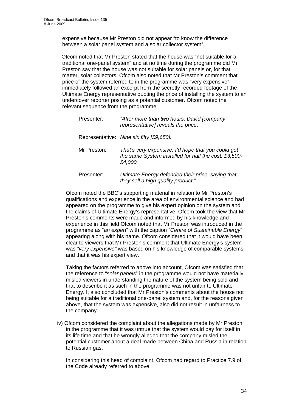expensive because Mr Preston did not appear "to know the difference between a solar panel system and a solar collector system".

Ofcom noted that Mr Preston stated that the house was "not suitable for a traditional one-panel system" and at no time during the programme did Mr Preston say that the house was not suitable for solar panels or, for that matter, solar collectors. Ofcom also noted that Mr Preston's comment that price of the system referred to in the programme was "very expensive" immediately followed an excerpt from the secretly recorded footage of the Ultimate Energy representative quoting the price of installing the system to an undercover reporter posing as a potential customer. Ofcom noted the relevant sequence from the programme:

| Presenter:  | "After more than two hours, David [company<br>representative] reveals the price.                                      |
|-------------|-----------------------------------------------------------------------------------------------------------------------|
|             | Representative: Nine six fifty [£9,650].                                                                              |
| Mr Preston: | That's very expensive. I'd hope that you could get<br>the same System installed for half the cost. £3,500-<br>£4,000. |
| Presenter:  | Ultimate Energy defended their price, saying that<br>they sell a high quality product."                               |

Ofcom noted the BBC's supporting material in relation to Mr Preston's qualifications and experience in the area of environmental science and had appeared on the programme to give his expert opinion on the system and the claims of Ultimate Energy's representative. Ofcom took the view that Mr Preston's comments were made and informed by his knowledge and experience in this field Ofcom noted that Mr Preston was introduced in the programme as "*an expert*" with the caption "*Centre of Sustainable Energy*" appearing along with his name. Ofcom considered that it would have been clear to viewers that Mr Preston's comment that Ultimate Energy's system was *"very expensive"* was based on his knowledge of comparable systems and that it was his expert view.

Taking the factors referred to above into account, Ofcom was satisfied that the reference to "*solar panels*" in the programme would not have materially misled viewers in understanding the nature of the system being sold and that to describe it as such in the programme was not unfair to Ultimate Energy. It also concluded that Mr Preston's comments about the house not being suitable for a traditional one-panel system and, for the reasons given above, that the system was expensive, also did not result in unfairness to the company.

iv) Ofcom considered the complaint about the allegations made by Mr Preston in the programme that it was untrue that the system would pay for itself in its life time and that he wrongly alleged that the company misled the potential customer about a deal made between China and Russia in relation to Russian gas.

In considering this head of complaint, Ofcom had regard to Practice 7.9 of the Code already referred to above.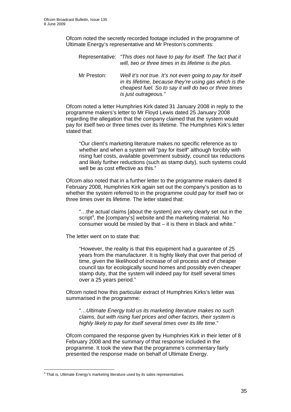Ofcom noted the secretly recorded footage included in the programme of Ultimate Energy's representative and Mr Preston's comments:

Representative: *"This does not have to pay for itself. The fact that it will, two or three times in its lifetime is the plus*. Mr Preston: *Well it's not true. It's not even going to pay for itself in its lifetime, because they're using gas which is the cheapest fuel. So to say it will do two or three times is just outrageous."* 

Ofcom noted a letter Humphries Kirk dated 31 January 2008 in reply to the programme makers's letter to Mr Floyd Lewis dated 25 January 2008 regarding the allegation that the company claimed that the system would pay for itself two or three times over its lifetime. The Humphries Kirk's letter stated that:

"Our client's marketing literature makes no specific reference as to whether and when a system will "pay for itself" although forcibly with rising fuel costs, available government subsidy, council tax reductions and likely further reductions (such as stamp duty), such systems could well be as cost effective as this."

Ofcom also noted that in a further letter to the programme makers dated 8 February 2008, Humphries Kirk again set out the company's position as to whether the system referred to in the programme could pay for itself two or three times over its lifetime. The letter stated that:

"…the actual claims [about the system] are very clearly set out in the script<sup>3</sup>, the [company's] website and the marketing material. No consumer would be misled by that – it is there in black and white."

The letter went on to state that:

"However, the reality is that this equipment had a guarantee of 25 years from the manufacturer. It is highly likely that over that period of time, given the likelihood of increase of oil process and of cheaper council tax for ecologically sound homes and possibly even cheaper stamp duty, that the system will indeed pay for itself several times over a 25 years period."

Ofcom noted how this particular extract of Humphries Kirks's letter was summarised in the programme:

"*…Ultimate Energy told us its marketing literature makes no such claims, but with rising fuel prices and other factors, their system is highly likely to pay for itself several times over its life time*."

Ofcom compared the response given by Humphries Kirk in their letter of 8 February 2008 and the summary of that response included in the programme. It took the view that the programme's commentary fairly presented the response made on behalf of Ultimate Energy.

 3 That is, Ultimate Energy's marketing literature used by its sales representatives.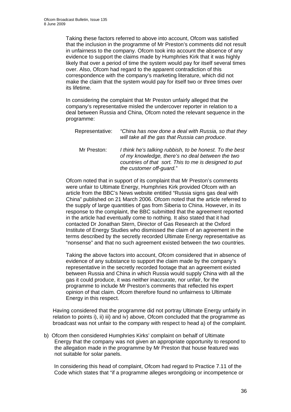Taking these factors referred to above into account, Ofcom was satisfied that the inclusion in the programme of Mr Preston's comments did not result in unfairness to the company. Ofcom took into account the absence of any evidence to support the claims made by Humphries Kirk that it was highly likely that over a period of time the system would pay for itself several times over. Also, Ofcom had regard to the apparent contradiction of this correspondence with the company's marketing literature, which did not make the claim that the system would pay for itself two or three times over its lifetime.

In considering the complaint that Mr Preston unfairly alleged that the company's representative misled the undercover reporter in relation to a deal between Russia and China, Ofcom noted the relevant sequence in the programme:

| Representative: | "China has now done a deal with Russia, so that they<br>will take all the gas that Russia can produce.                                                                                           |
|-----------------|--------------------------------------------------------------------------------------------------------------------------------------------------------------------------------------------------|
| Mr Preston:     | I think he's talking rubbish, to be honest. To the best<br>of my knowledge, there's no deal between the two<br>countries of that sort. This to me is designed to put<br>the customer off-quard." |

Ofcom noted that in support of its complaint that Mr Preston's comments were unfair to Ultimate Energy, Humphries Kirk provided Ofcom with an article from the BBC's News website entitled "Russia signs gas deal with China" published on 21 March 2006. Ofcom noted that the article referred to the supply of large quantities of gas from Siberia to China. However, in its response to the complaint, the BBC submitted that the agreement reported in the article had eventually come to nothing. It also stated that it had contacted Dr Jonathan Stern, Director of Gas Research at the Oxford Institute of Energy Studies who dismissed the claim of an agreement in the terms described by the secretly recorded Ultimate Energy representative as "nonsense" and that no such agreement existed between the two countries.

Taking the above factors into account, Ofcom considered that in absence of evidence of any substance to support the claim made by the company's representative in the secretly recorded footage that an agreement existed between Russia and China in which Russia would supply China with all the gas it could produce, it was neither inaccurate, nor unfair, for the programme to include Mr Preston's comments that reflected his expert opinion of that claim. Ofcom therefore found no unfairness to Ultimate Energy in this respect.

Having considered that the programme did not portray Ultimate Energy unfairly in relation to points i), ii) iii) and iv) above, Ofcom concluded that the programme as broadcast was not unfair to the company with respect to head a) of the complaint.

b) Ofcom then considered Humphries Kirks' complaint on behalf of Ultimate Energy that the company was not given an appropriate opportunity to respond to the allegation made in the programme by Mr Preston that house featured was not suitable for solar panels.

In considering this head of complaint, Ofcom had regard to Practice 7.11 of the Code which states that "if a programme alleges wrongdoing or incompetence or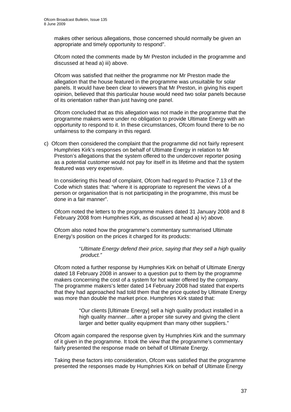makes other serious allegations, those concerned should normally be given an appropriate and timely opportunity to respond".

Ofcom noted the comments made by Mr Preston included in the programme and discussed at head a) iii) above.

Ofcom was satisfied that neither the programme nor Mr Preston made the allegation that the house featured in the programme was unsuitable for solar panels. It would have been clear to viewers that Mr Preston, in giving his expert opinion, believed that this particular house would need two solar panels because of its orientation rather than just having one panel.

Ofcom concluded that as this allegation was not made in the programme that the programme makers were under no obligation to provide Ultimate Energy with an opportunity to respond to it. In these circumstances, Ofcom found there to be no unfairness to the company in this regard.

c) Ofcom then considered the complaint that the programme did not fairly represent Humphries Kirk's responses on behalf of Ultimate Energy in relation to Mr Preston's allegations that the system offered to the undercover reporter posing as a potential customer would not pay for itself in its lifetime and that the system featured was very expensive.

In considering this head of complaint, Ofcom had regard to Practice 7.13 of the Code which states that: "where it is appropriate to represent the views of a person or organisation that is not participating in the programme, this must be done in a fair manner".

Ofcom noted the letters to the programme makers dated 31 January 2008 and 8 February 2008 from Humphries Kirk, as discussed at head a) iv) above.

Ofcom also noted how the programme's commentary summarised Ultimate Energy's position on the prices it charged for its products:

> "*Ultimate Energy defend their price, saying that they sell a high quality product."*

Ofcom noted a further response by Humphries Kirk on behalf of Ultimate Energy dated 18 February 2008 in answer to a question put to them by the programme makers concerning the cost of a system for hot water offered by the company. The programme makers's letter dated 14 February 2008 had stated that experts that they had approached had told them that the price quoted by Ultimate Energy was more than double the market price. Humphries Kirk stated that:

> "Our clients [Ultimate Energy] sell a high quality product installed in a high quality manner…after a proper site survey and giving the client larger and better quality equipment than many other suppliers."

Ofcom again compared the response given by Humphries Kirk and the summary of it given in the programme. It took the view that the programme's commentary fairly presented the response made on behalf of Ultimate Energy.

Taking these factors into consideration, Ofcom was satisfied that the programme presented the responses made by Humphries Kirk on behalf of Ultimate Energy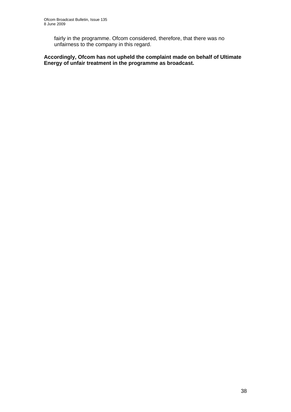fairly in the programme. Ofcom considered, therefore, that there was no unfairness to the company in this regard.

**Accordingly, Ofcom has not upheld the complaint made on behalf of Ultimate Energy of unfair treatment in the programme as broadcast.**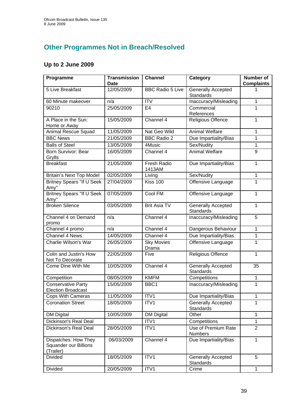## **Other Programmes Not in Breach/Resolved**

## **Up to 2 June 2009**

| Programme                                                  | <b>Transmission</b><br><b>Date</b> | <b>Channel</b>               | Category                                      | <b>Number of</b><br><b>Complaints</b> |
|------------------------------------------------------------|------------------------------------|------------------------------|-----------------------------------------------|---------------------------------------|
| 5 Live Breakfast                                           | 12/05/2009                         | <b>BBC Radio 5 Live</b>      | <b>Generally Accepted</b><br>Standards        | 1                                     |
| 60 Minute makeover                                         | n/a                                | <b>ITV</b>                   | Inaccuracy/Misleading                         | $\mathbf{1}$                          |
| 90210                                                      | 25/05/2009                         | E <sub>4</sub>               | Commercial<br>References                      | 1                                     |
| A Place in the Sun:<br>Home or Away                        | 15/05/2009                         | Channel 4                    | <b>Religious Offence</b>                      | 1                                     |
| Animal Rescue Squad                                        | 11/05/2009                         | Nat Geo Wild                 | <b>Animal Welfare</b>                         | 1                                     |
| <b>BBC News</b>                                            | 21/05/2009                         | <b>BBC Radio 2</b>           | Due Impartiality/Bias                         | 1                                     |
| <b>Balls of Steel</b>                                      | 13/05/2009                         | 4Music                       | Sex/Nudity                                    | $\mathbf{1}$                          |
| Born Survivor: Bear<br>Grylls                              | 16/05/2009                         | Channel 4                    | <b>Animal Welfare</b>                         | 9                                     |
| <b>Breakfast</b>                                           | 21/05/2009                         | <b>Fresh Radio</b><br>1413AM | Due Impartiality/Bias                         | $\mathbf{1}$                          |
| <b>Britain's Next Top Model</b>                            | 02/05/2009                         | Living                       | Sex/Nudity                                    | $\mathbf 1$                           |
| <b>Britney Spears "If U Seek</b><br>Amy"                   | 27/04/2009                         | <b>Kiss 100</b>              | Offensive Language                            | 1                                     |
| Britney Spears "If U Seek<br>Amy"                          | 07/05/2009                         | Cool FM                      | Offensive Language                            | 1                                     |
| <b>Broken Silence</b>                                      | 03/05/2009                         | <b>Brit Asia TV</b>          | <b>Generally Accepted</b><br><b>Standards</b> | 1                                     |
| Channel 4 on Demand<br>promo                               | n/a                                | Channel 4                    | Inaccuracy/Misleading                         | 5                                     |
| Channel 4 promo                                            | n/a                                | Channel 4                    | Dangerous Behaviour                           | 1                                     |
| Channel 4 News                                             | 14/05/2009                         | Channel 4                    | Due Impartiality/Bias                         | 1                                     |
| Charlie Wilson's War                                       | 26/05/2009                         | <b>Sky Movies</b><br>Drama   | Offensive Language                            | 1                                     |
| Colin and Justin's How<br>Not To Decorate                  | 22/05/2009                         | Five                         | <b>Religious Offence</b>                      | $\mathbf{1}$                          |
| Come Dine With Me                                          | 10/05/2009                         | Channel 4                    | Generally Accepted<br><b>Standards</b>        | 35                                    |
| Competition                                                | 08/05/2009                         | <b>KMFM</b>                  | Competitions                                  | $\mathbf 1$                           |
| Conservative Party<br><b>Election Broadcast</b>            | 15/05/2009                         | BBC1                         | Inaccuracy/Misleading                         | 1                                     |
| <b>Cops With Cameras</b>                                   | 11/05/2009                         | ITV1                         | Due Impartiality/Bias                         | 1                                     |
| <b>Coronation Street</b>                                   | 18/05/2009                         | ITV1                         | <b>Generally Accepted</b><br>Standards        | 1                                     |
| <b>DM Digital</b>                                          | 10/05/2009                         | <b>DM Digital</b>            | Other                                         | $\mathbf{1}$                          |
| <b>Dickinson's Real Deal</b>                               |                                    | ITV1                         | Competitions                                  | $\mathbf{1}$                          |
| Dickinson's Real Deal                                      | 28/05/2009                         | ITV1                         | Use of Premium Rate<br><b>Numbers</b>         | $\overline{2}$                        |
| Dispatches: How They<br>Squander our Billions<br>(Trailer) | 06/03/2009                         | Channel 4                    | Due Impartiality/Bias                         | $\mathbf{1}$                          |
| <b>Divided</b>                                             | 18/05/2009                         | ITV1                         | <b>Generally Accepted</b><br>Standards        | 5                                     |
| <b>Divided</b>                                             | 20/05/2009                         | ITV1                         | Crime                                         | $\mathbf{1}$                          |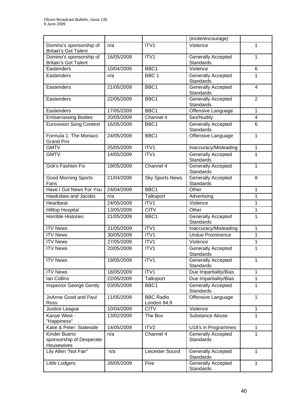|                                                        |            |                                 | (incite/encourage)                            |                |
|--------------------------------------------------------|------------|---------------------------------|-----------------------------------------------|----------------|
| Domino's sponsorship of<br><b>Britain's Got Talent</b> | n/a        | ITV1                            | Violence                                      | 1              |
| Domino's sponsorship of<br><b>Britain's Got Talent</b> | 16/05/2009 | ITV1                            | <b>Generally Accepted</b><br><b>Standards</b> | 1              |
| Eastenders                                             | 10/04/2009 | BBC1                            | Violence                                      | 6              |
| Eastenders                                             | n/a        | BBC <sub>1</sub>                | <b>Generally Accepted</b><br><b>Standards</b> | 1              |
| Eastenders                                             | 21/05/2009 | BBC1                            | <b>Generally Accepted</b><br><b>Standards</b> | $\overline{4}$ |
| Eastenders                                             | 22/05/2009 | BBC1                            | <b>Generally Accepted</b><br><b>Standards</b> | $\overline{2}$ |
| Eastenders                                             | 17/05/2009 | BBC1                            | Offensive Language                            | $\mathbf{1}$   |
| <b>Embarrassing Bodies</b>                             | 20/05/2009 | Channel 4                       | Sex/Nudity                                    | 4              |
| <b>Eurovision Song Contest</b>                         | 16/05/2009 | BBC1                            | <b>Generally Accepted</b><br><b>Standards</b> | 6              |
| Formula 1: The Monaco<br><b>Grand Prix</b>             | 24/05/2009 | BBC1                            | Offensive Language                            | $\mathbf{1}$   |
| <b>GMTV</b>                                            | 25/05/2009 | ITV1                            | Inaccuracy/Misleading                         | $\mathbf 1$    |
| <b>GMTV</b>                                            | 14/05/2009 | ITV1                            | <b>Generally Accepted</b><br><b>Standards</b> | 1              |
| Gok's Fashion Fix                                      | 19/05/2009 | Channel 4                       | <b>Generally Accepted</b><br><b>Standards</b> | 1              |
| <b>Good Morning Sports</b><br>Fans                     | 21/04/2009 | <b>Sky Sports News</b>          | <b>Generally Accepted</b><br><b>Standards</b> | 8              |
| Have I Got News For You                                | 24/04/2009 | BBC <sub>1</sub>                | Other                                         | $\mathbf{1}$   |
| Hawksbee and Jacobs                                    | n/a        | Talksport                       | Advertising                                   | 1              |
| Heartbeat                                              | 24/05/2009 | ITV1                            | Violence                                      | 1              |
| <b>Hilltop Hospital</b>                                | 13/05/2009 | <b>CITV</b>                     | Other                                         | 1              |
| <b>Horrible Histories</b>                              | 21/05/2009 | BBC1                            | <b>Generally Accepted</b><br>Standards        | 1              |
| <b>ITV News</b>                                        | 21/05/2009 | ITV1                            | Inaccuracy/Misleading                         | $\mathbf 1$    |
| <b>ITV News</b>                                        | 30/05/2009 | ITV <sub>1</sub>                | <b>Undue Prominence</b>                       | 1              |
| <b>ITV News</b>                                        | 27/05/2009 | ITV1                            | Violence                                      | 1              |
| <b>ITV News</b>                                        | 20/05/2009 | ITV1                            | <b>Generally Accepted</b><br>Standards        | 1              |
| <b>ITV News</b>                                        | 19/05/2009 | ITV <sub>1</sub>                | <b>Generally Accepted</b><br><b>Standards</b> | 1              |
| <b>ITV News</b>                                        | 18/05/2009 | $\overline{ITV1}$               | Due Impartiality/Bias                         | 1              |
| Ian Collins                                            | 22/05/2009 | Talksport                       | Due Impartiality/Bias                         | $\mathbf 1$    |
| <b>Inspector George Gently</b>                         | 03/05/2009 | BBC1                            | <b>Generally Accepted</b><br><b>Standards</b> | $\mathbf{1}$   |
| JoAnne Good and Paul<br>Ross                           | 11/05/2009 | <b>BBC Radio</b><br>London 94.9 | Offensive Language                            | $\mathbf{1}$   |
| Justice League                                         | 10/04/2009 | <b>CITV</b>                     | Violence                                      | $\mathbf{1}$   |
| Kanye West -<br>"Happiness"                            | 13/02/2009 | The Box                         | Substance Abuse                               | 1              |
| Katie & Peter: Stateside                               | 14/05/2009 | ITV2                            | U18's in Programmes                           | $\mathbf{1}$   |
| Kinder Bueno<br>sponsorship of Desperate<br>Housewives | n/a        | Channel 4                       | <b>Generally Accepted</b><br><b>Standards</b> | 1              |
| Lily Allen "Not Fair"                                  | n/a        | Leicester Sound                 | <b>Generally Accepted</b><br><b>Standards</b> | 1              |
| Little Lodgers                                         | 26/05/2009 | Five                            | Generally Accepted<br>Standards               | 1              |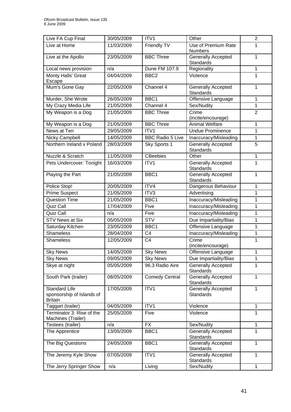| Live FA Cup Final                                            | 30/05/2009 | ITV1                    | Other                                         | $\overline{2}$ |
|--------------------------------------------------------------|------------|-------------------------|-----------------------------------------------|----------------|
| Live at Home                                                 | 11/03/2009 | Friendly TV             | Use of Premium Rate<br><b>Numbers</b>         | 1              |
| Live at the Apollo                                           | 23/05/2009 | <b>BBC Three</b>        | <b>Generally Accepted</b><br><b>Standards</b> | 1              |
| Local news provision                                         | n/a        | Dune FM 107.9           | Regionality                                   | 1              |
| Monty Halls' Great<br>Escape                                 | 04/04/2009 | BBC <sub>2</sub>        | Violence                                      | 1              |
| Mum's Gone Gay                                               | 22/05/2009 | Channel 4               | <b>Generally Accepted</b><br>Standards        | 1              |
| Murder, She Wrote                                            | 26/05/2009 | BBC1                    | Offensive Language                            | $\mathbf 1$    |
| My Crazy Media Life                                          | 21/05/2009 | Channel 4               | Sex/Nudity                                    | 1              |
| My Weapon is a Dog                                           | 21/05/2009 | <b>BBC Three</b>        | Crime<br>(incite/encourage)                   | $\overline{2}$ |
| My Weapon is a Dog                                           | 21/05/2009 | <b>BBC Three</b>        | <b>Animal Welfare</b>                         | 1              |
| News at Ten                                                  | 29/05/2009 | ITV1                    | <b>Undue Prominence</b>                       | 1              |
| Nicky Campbell                                               | 14/05/2009 | <b>BBC Radio 5 Live</b> | Inaccuracy/Misleading                         | 1              |
| Northern Ireland v Poland                                    | 28/03/2009 | Sky Sports 1            | <b>Generally Accepted</b><br><b>Standards</b> | $\overline{5}$ |
| Nuzzle & Scratch                                             | 11/05/2009 | <b>CBeebies</b>         | Other                                         | 1              |
| Pets Undercover: Tonight                                     | 16/03/2009 | ITV1                    | <b>Generally Accepted</b><br><b>Standards</b> | 1              |
| Playing the Part                                             | 21/05/2009 | BBC1                    | <b>Generally Accepted</b><br><b>Standards</b> | 1              |
| Police Stop!                                                 | 20/05/2009 | ITV4                    | Dangerous Behaviour                           | 1              |
| Prime Suspect                                                | 21/05/2009 | ITV3                    | Advertising                                   | $\mathbf 1$    |
| <b>Question Time</b>                                         | 21/05/2009 | BBC1                    | Inaccuracy/Misleading                         | 1              |
| Quiz Call                                                    | 17/04/2009 | Five                    | Inaccuracy/Misleading                         | 1              |
| Quiz Call                                                    | n/a        | Five                    | Inaccuracy/Misleading                         | 1              |
| <b>STV News at Six</b>                                       | 05/05/2009 | <b>STV</b>              | Due Impartiality/Bias                         | 1              |
| Saturday Kitchen                                             | 23/05/2009 | BBC1                    | Offensive Language                            | $\mathbf 1$    |
| Shameless                                                    | 28/04/2009 | C <sub>4</sub>          | Inaccuracy/Misleading                         | 1              |
| <b>Shameless</b>                                             | 12/05/2009 | C <sub>4</sub>          | Crime<br>(incite/encourage)                   | 1              |
| <b>Sky News</b>                                              | 14/05/2009 | <b>Sky News</b>         | Offensive Language                            | 1              |
| <b>Sky News</b>                                              | 09/05/2009 | <b>Sky News</b>         | Due Impartiality/Bias                         | 1              |
| Skye at night                                                | 05/05/2009 | 96.3 Radio Aire         | <b>Generally Accepted</b><br><b>Standards</b> | 1              |
| South Park (trailer)                                         | 08/05/2009 | <b>Comedy Central</b>   | <b>Generally Accepted</b><br>Standards        | 1              |
| Standard Life<br>sponsorship of Islands of<br><b>Britain</b> | 17/05/2009 | ITV1                    | Generally Accepted<br><b>Standards</b>        | $\mathbf{1}$   |
| Taggart (trailer)                                            | 04/05/2009 | ITV1                    | Violence                                      | $\mathbf{1}$   |
| Terminator 3: Rise of the<br>Machines (Trailer)              | 25/05/2009 | Five                    | Violence                                      | 1              |
| Testees (trailer)                                            | n/a        | <b>FX</b>               | Sex/Nudity                                    | $\mathbf{1}$   |
| The Apprentice                                               | 13/05/2009 | BBC1                    | <b>Generally Accepted</b><br>Standards        | $\mathbf{1}$   |
| The Big Questions                                            | 24/05/2009 | BBC1                    | Generally Accepted<br>Standards               | $\mathbf{1}$   |
| The Jeremy Kyle Show                                         | 07/05/2009 | ITV1                    | <b>Generally Accepted</b><br><b>Standards</b> | $\mathbf{1}$   |
| The Jerry Springer Show                                      | n/a        | Living                  | Sex/Nudity                                    | $\mathbf{1}$   |